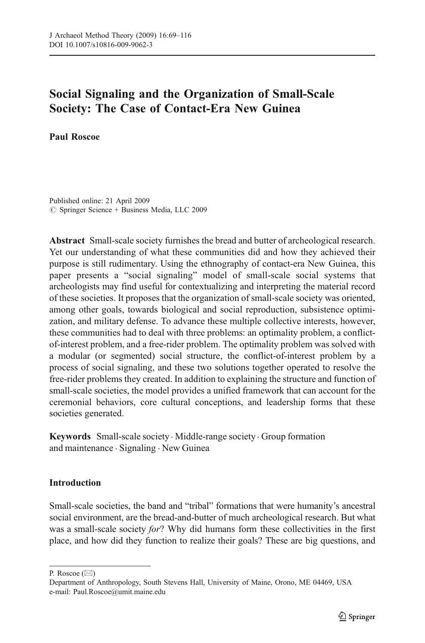# Social Signaling and the Organization of Small-Scale Society: The Case of Contact-Era New Guinea

# Paul Roscoe

Published online: 21 April 2009  $\oslash$  Springer Science + Business Media, LLC 2009

Abstract Small-scale society furnishes the bread and butter of archeological research. Yet our understanding of what these communities did and how they achieved their purpose is still rudimentary. Using the ethnography of contact-era New Guinea, this paper presents a "social signaling" model of small-scale social systems that archeologists may find useful for contextualizing and interpreting the material record of these societies. It proposes that the organization of small-scale society was oriented, among other goals, towards biological and social reproduction, subsistence optimization, and military defense. To advance these multiple collective interests, however, these communities had to deal with three problems: an optimality problem, a conflictof-interest problem, and a free-rider problem. The optimality problem was solved with a modular (or segmented) social structure, the conflict-of-interest problem by a process of social signaling, and these two solutions together operated to resolve the free-rider problems they created. In addition to explaining the structure and function of small-scale societies, the model provides a unified framework that can account for the ceremonial behaviors, core cultural conceptions, and leadership forms that these societies generated.

Keywords Small-scale society . Middle-range society . Group formation and maintenance . Signaling . New Guinea

# Introduction

Small-scale societies, the band and "tribal" formations that were humanity's ancestral social environment, are the bread-and-butter of much archeological research. But what was a small-scale society for? Why did humans form these collectivities in the first place, and how did they function to realize their goals? These are big questions, and

P. Roscoe (*\**)

Department of Anthropology, South Stevens Hall, University of Maine, Orono, ME 04469, USA e-mail: Paul.Roscoe@umit.maine.edu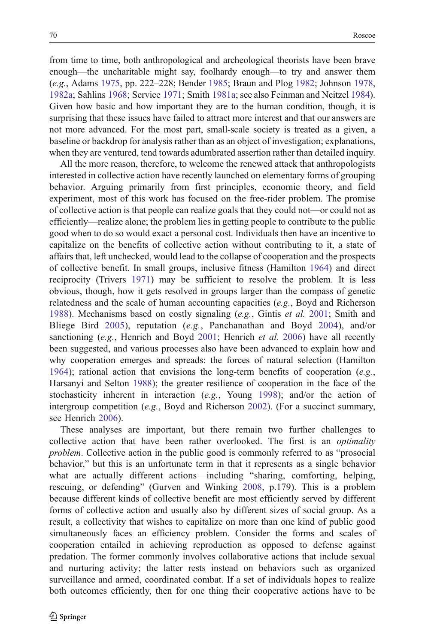from time to time, both anthropological and archeological theorists have been brave enough—the uncharitable might say, foolhardy enough—to try and answer them (e.g., Adams [1975](#page-39-0), pp. 222–228; Bender [1985;](#page-40-0) Braun and Plog [1982](#page-40-0); Johnson [1978,](#page-43-0) [1982a](#page-43-0); Sahlins [1968](#page-46-0); Service [1971](#page-46-0); Smith [1981a;](#page-46-0) see also Feinman and Neitzel [1984\)](#page-41-0). Given how basic and how important they are to the human condition, though, it is surprising that these issues have failed to attract more interest and that our answers are not more advanced. For the most part, small-scale society is treated as a given, a baseline or backdrop for analysis rather than as an object of investigation; explanations, when they are ventured, tend towards adumbrated assertion rather than detailed inquiry.

All the more reason, therefore, to welcome the renewed attack that anthropologists interested in collective action have recently launched on elementary forms of grouping behavior. Arguing primarily from first principles, economic theory, and field experiment, most of this work has focused on the free-rider problem. The promise of collective action is that people can realize goals that they could not—or could not as efficiently—realize alone; the problem lies in getting people to contribute to the public good when to do so would exact a personal cost. Individuals then have an incentive to capitalize on the benefits of collective action without contributing to it, a state of affairs that, left unchecked, would lead to the collapse of cooperation and the prospects of collective benefit. In small groups, inclusive fitness (Hamilton [1964](#page-42-0)) and direct reciprocity (Trivers [1971\)](#page-47-0) may be sufficient to resolve the problem. It is less obvious, though, how it gets resolved in groups larger than the compass of genetic relatedness and the scale of human accounting capacities (e.g., Boyd and Richerson [1988\)](#page-40-0). Mechanisms based on costly signaling (e.g., Gintis et al. [2001;](#page-42-0) Smith and Bliege Bird [2005](#page-46-0)), reputation (e.g., Panchanathan and Boyd [2004\)](#page-44-0), and/or sanctioning (e.g., Henrich and Boyd [2001;](#page-42-0) Henrich et al. [2006\)](#page-42-0) have all recently been suggested, and various processes also have been advanced to explain how and why cooperation emerges and spreads: the forces of natural selection (Hamilton [1964\)](#page-42-0); rational action that envisions the long-term benefits of cooperation (e.g., Harsanyi and Selton [1988](#page-42-0)); the greater resilience of cooperation in the face of the stochasticity inherent in interaction  $(e.g., Young 1998)$  $(e.g., Young 1998)$  $(e.g., Young 1998)$ ; and/or the action of intergroup competition (e.g., Boyd and Richerson [2002](#page-40-0)). (For a succinct summary, see Henrich [2006\)](#page-42-0).

These analyses are important, but there remain two further challenges to collective action that have been rather overlooked. The first is an optimality problem. Collective action in the public good is commonly referred to as "prosocial behavior," but this is an unfortunate term in that it represents as a single behavior what are actually different actions—including "sharing, comforting, helping, rescuing, or defending" (Gurven and Winking [2008](#page-42-0), p.179). This is a problem because different kinds of collective benefit are most efficiently served by different forms of collective action and usually also by different sizes of social group. As a result, a collectivity that wishes to capitalize on more than one kind of public good simultaneously faces an efficiency problem. Consider the forms and scales of cooperation entailed in achieving reproduction as opposed to defense against predation. The former commonly involves collaborative actions that include sexual and nurturing activity; the latter rests instead on behaviors such as organized surveillance and armed, coordinated combat. If a set of individuals hopes to realize both outcomes efficiently, then for one thing their cooperative actions have to be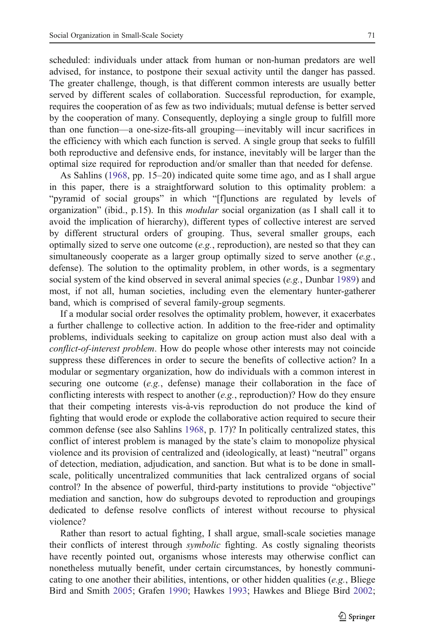scheduled: individuals under attack from human or non-human predators are well advised, for instance, to postpone their sexual activity until the danger has passed. The greater challenge, though, is that different common interests are usually better served by different scales of collaboration. Successful reproduction, for example, requires the cooperation of as few as two individuals; mutual defense is better served by the cooperation of many. Consequently, deploying a single group to fulfill more than one function—a one-size-fits-all grouping—inevitably will incur sacrifices in the efficiency with which each function is served. A single group that seeks to fulfill both reproductive and defensive ends, for instance, inevitably will be larger than the optimal size required for reproduction and/or smaller than that needed for defense.

As Sahlins ([1968,](#page-46-0) pp. 15–20) indicated quite some time ago, and as I shall argue in this paper, there is a straightforward solution to this optimality problem: a "pyramid of social groups" in which "[f]unctions are regulated by levels of organization" (ibid., p.15). In this *modular* social organization (as I shall call it to avoid the implication of hierarchy), different types of collective interest are served by different structural orders of grouping. Thus, several smaller groups, each optimally sized to serve one outcome  $(e.g.,$  reproduction), are nested so that they can simultaneously cooperate as a larger group optimally sized to serve another  $(e.g.,)$ defense). The solution to the optimality problem, in other words, is a segmentary social system of the kind observed in several animal species  $(e.g.,$  Dunbar [1989](#page-41-0)) and most, if not all, human societies, including even the elementary hunter-gatherer band, which is comprised of several family-group segments.

If a modular social order resolves the optimality problem, however, it exacerbates a further challenge to collective action. In addition to the free-rider and optimality problems, individuals seeking to capitalize on group action must also deal with a conflict-of-interest problem. How do people whose other interests may not coincide suppress these differences in order to secure the benefits of collective action? In a modular or segmentary organization, how do individuals with a common interest in securing one outcome  $(e.g.,$  defense) manage their collaboration in the face of conflicting interests with respect to another  $(e.g.,$  reproduction)? How do they ensure that their competing interests vis-à-vis reproduction do not produce the kind of fighting that would erode or explode the collaborative action required to secure their common defense (see also Sahlins [1968,](#page-46-0) p. 17)? In politically centralized states, this conflict of interest problem is managed by the state's claim to monopolize physical violence and its provision of centralized and (ideologically, at least) "neutral" organs of detection, mediation, adjudication, and sanction. But what is to be done in smallscale, politically uncentralized communities that lack centralized organs of social control? In the absence of powerful, third-party institutions to provide "objective" mediation and sanction, how do subgroups devoted to reproduction and groupings dedicated to defense resolve conflicts of interest without recourse to physical violence?

Rather than resort to actual fighting, I shall argue, small-scale societies manage their conflicts of interest through symbolic fighting. As costly signaling theorists have recently pointed out, organisms whose interests may otherwise conflict can nonetheless mutually benefit, under certain circumstances, by honestly communicating to one another their abilities, intentions, or other hidden qualities ( $e.g.,$  Bliege Bird and Smith [2005](#page-40-0); Grafen [1990](#page-42-0); Hawkes [1993;](#page-42-0) Hawkes and Bliege Bird [2002;](#page-42-0)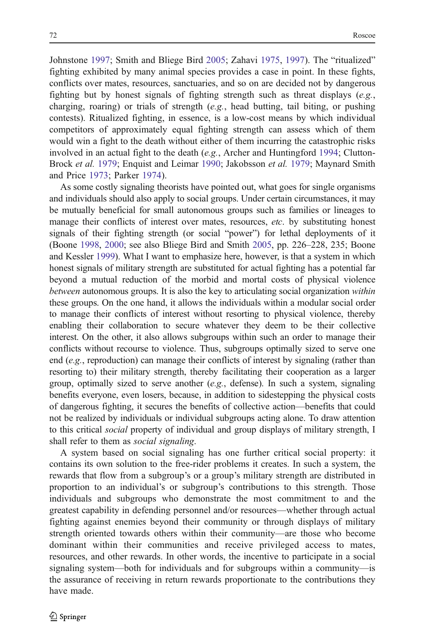Johnstone [1997;](#page-43-0) Smith and Bliege Bird [2005](#page-46-0); Zahavi [1975,](#page-47-0) [1997](#page-47-0)). The "ritualized" fighting exhibited by many animal species provides a case in point. In these fights, conflicts over mates, resources, sanctuaries, and so on are decided not by dangerous fighting but by honest signals of fighting strength such as threat displays  $(e.g.,)$ charging, roaring) or trials of strength (e.g., head butting, tail biting, or pushing contests). Ritualized fighting, in essence, is a low-cost means by which individual competitors of approximately equal fighting strength can assess which of them would win a fight to the death without either of them incurring the catastrophic risks involved in an actual fight to the death (e.g., Archer and Huntingford [1994;](#page-39-0) Clutton-Brock et al. [1979](#page-41-0); Enquist and Leimar [1990](#page-41-0); Jakobsson et al. [1979;](#page-43-0) Maynard Smith and Price [1973](#page-44-0); Parker [1974](#page-45-0)).

As some costly signaling theorists have pointed out, what goes for single organisms and individuals should also apply to social groups. Under certain circumstances, it may be mutually beneficial for small autonomous groups such as families or lineages to manage their conflicts of interest over mates, resources, *etc*. by substituting honest signals of their fighting strength (or social "power") for lethal deployments of it (Boone [1998,](#page-40-0) [2000;](#page-40-0) see also Bliege Bird and Smith [2005,](#page-40-0) pp. 226–228, 235; Boone and Kessler [1999\)](#page-40-0). What I want to emphasize here, however, is that a system in which honest signals of military strength are substituted for actual fighting has a potential far beyond a mutual reduction of the morbid and mortal costs of physical violence between autonomous groups. It is also the key to articulating social organization within these groups. On the one hand, it allows the individuals within a modular social order to manage their conflicts of interest without resorting to physical violence, thereby enabling their collaboration to secure whatever they deem to be their collective interest. On the other, it also allows subgroups within such an order to manage their conflicts without recourse to violence. Thus, subgroups optimally sized to serve one end (e.g., reproduction) can manage their conflicts of interest by signaling (rather than resorting to) their military strength, thereby facilitating their cooperation as a larger group, optimally sized to serve another  $(e.g.,$  defense). In such a system, signaling benefits everyone, even losers, because, in addition to sidestepping the physical costs of dangerous fighting, it secures the benefits of collective action—benefits that could not be realized by individuals or individual subgroups acting alone. To draw attention to this critical *social* property of individual and group displays of military strength, I shall refer to them as *social signaling*.

A system based on social signaling has one further critical social property: it contains its own solution to the free-rider problems it creates. In such a system, the rewards that flow from a subgroup's or a group's military strength are distributed in proportion to an individual's or subgroup's contributions to this strength. Those individuals and subgroups who demonstrate the most commitment to and the greatest capability in defending personnel and/or resources—whether through actual fighting against enemies beyond their community or through displays of military strength oriented towards others within their community—are those who become dominant within their communities and receive privileged access to mates, resources, and other rewards. In other words, the incentive to participate in a social signaling system—both for individuals and for subgroups within a community—is the assurance of receiving in return rewards proportionate to the contributions they have made.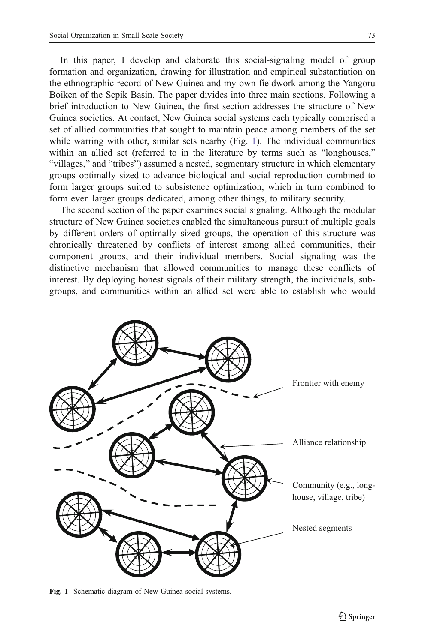<span id="page-4-0"></span>In this paper, I develop and elaborate this social-signaling model of group formation and organization, drawing for illustration and empirical substantiation on the ethnographic record of New Guinea and my own fieldwork among the Yangoru Boiken of the Sepik Basin. The paper divides into three main sections. Following a brief introduction to New Guinea, the first section addresses the structure of New Guinea societies. At contact, New Guinea social systems each typically comprised a set of allied communities that sought to maintain peace among members of the set while warring with other, similar sets nearby (Fig. 1). The individual communities within an allied set (referred to in the literature by terms such as "longhouses," "villages," and "tribes") assumed a nested, segmentary structure in which elementary groups optimally sized to advance biological and social reproduction combined to form larger groups suited to subsistence optimization, which in turn combined to form even larger groups dedicated, among other things, to military security.

The second section of the paper examines social signaling. Although the modular structure of New Guinea societies enabled the simultaneous pursuit of multiple goals by different orders of optimally sized groups, the operation of this structure was chronically threatened by conflicts of interest among allied communities, their component groups, and their individual members. Social signaling was the distinctive mechanism that allowed communities to manage these conflicts of interest. By deploying honest signals of their military strength, the individuals, subgroups, and communities within an allied set were able to establish who would



Fig. 1 Schematic diagram of New Guinea social systems.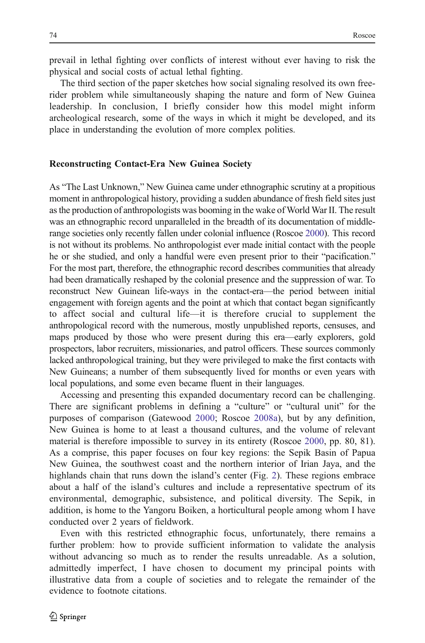prevail in lethal fighting over conflicts of interest without ever having to risk the physical and social costs of actual lethal fighting.

The third section of the paper sketches how social signaling resolved its own freerider problem while simultaneously shaping the nature and form of New Guinea leadership. In conclusion, I briefly consider how this model might inform archeological research, some of the ways in which it might be developed, and its place in understanding the evolution of more complex polities.

#### Reconstructing Contact-Era New Guinea Society

As "The Last Unknown," New Guinea came under ethnographic scrutiny at a propitious moment in anthropological history, providing a sudden abundance of fresh field sites just as the production of anthropologists was booming in the wake of World War II. The result was an ethnographic record unparalleled in the breadth of its documentation of middlerange societies only recently fallen under colonial influence (Roscoe [2000](#page-45-0)). This record is not without its problems. No anthropologist ever made initial contact with the people he or she studied, and only a handful were even present prior to their "pacification." For the most part, therefore, the ethnographic record describes communities that already had been dramatically reshaped by the colonial presence and the suppression of war. To reconstruct New Guinean life-ways in the contact-era—the period between initial engagement with foreign agents and the point at which that contact began significantly to affect social and cultural life—it is therefore crucial to supplement the anthropological record with the numerous, mostly unpublished reports, censuses, and maps produced by those who were present during this era—early explorers, gold prospectors, labor recruiters, missionaries, and patrol officers. These sources commonly lacked anthropological training, but they were privileged to make the first contacts with New Guineans; a number of them subsequently lived for months or even years with local populations, and some even became fluent in their languages.

Accessing and presenting this expanded documentary record can be challenging. There are significant problems in defining a "culture" or "cultural unit" for the purposes of comparison (Gatewood [2000](#page-42-0); Roscoe [2008a](#page-46-0)), but by any definition, New Guinea is home to at least a thousand cultures, and the volume of relevant material is therefore impossible to survey in its entirety (Roscoe [2000](#page-45-0), pp. 80, 81). As a comprise, this paper focuses on four key regions: the Sepik Basin of Papua New Guinea, the southwest coast and the northern interior of Irian Jaya, and the highlands chain that runs down the island's center (Fig. [2](#page-6-0)). These regions embrace about a half of the island's cultures and include a representative spectrum of its environmental, demographic, subsistence, and political diversity. The Sepik, in addition, is home to the Yangoru Boiken, a horticultural people among whom I have conducted over 2 years of fieldwork.

Even with this restricted ethnographic focus, unfortunately, there remains a further problem: how to provide sufficient information to validate the analysis without advancing so much as to render the results unreadable. As a solution, admittedly imperfect, I have chosen to document my principal points with illustrative data from a couple of societies and to relegate the remainder of the evidence to footnote citations.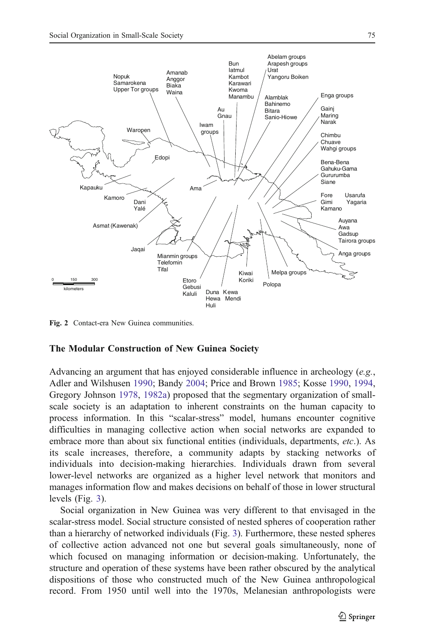<span id="page-6-0"></span>

Fig. 2 Contact-era New Guinea communities.

## The Modular Construction of New Guinea Society

Advancing an argument that has enjoyed considerable influence in archeology (e.g., Adler and Wilshusen [1990;](#page-39-0) Bandy [2004](#page-39-0); Price and Brown [1985;](#page-45-0) Kosse [1990,](#page-43-0) [1994,](#page-43-0) Gregory Johnson [1978,](#page-43-0) [1982a\)](#page-43-0) proposed that the segmentary organization of smallscale society is an adaptation to inherent constraints on the human capacity to process information. In this "scalar-stress" model, humans encounter cognitive difficulties in managing collective action when social networks are expanded to embrace more than about six functional entities (individuals, departments, *etc.*). As its scale increases, therefore, a community adapts by stacking networks of individuals into decision-making hierarchies. Individuals drawn from several lower-level networks are organized as a higher level network that monitors and manages information flow and makes decisions on behalf of those in lower structural levels (Fig. [3](#page-7-0)).

Social organization in New Guinea was very different to that envisaged in the scalar-stress model. Social structure consisted of nested spheres of cooperation rather than a hierarchy of networked individuals (Fig. [3](#page-7-0)). Furthermore, these nested spheres of collective action advanced not one but several goals simultaneously, none of which focused on managing information or decision-making. Unfortunately, the structure and operation of these systems have been rather obscured by the analytical dispositions of those who constructed much of the New Guinea anthropological record. From 1950 until well into the 1970s, Melanesian anthropologists were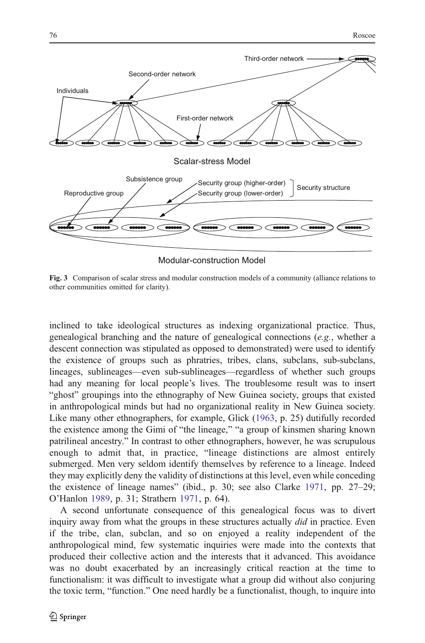<span id="page-7-0"></span>

Modular-construction Model

Fig. 3 Comparison of scalar stress and modular construction models of a community (alliance relations to other communities omitted for clarity).

inclined to take ideological structures as indexing organizational practice. Thus, genealogical branching and the nature of genealogical connections ( $e.g.,$  whether a descent connection was stipulated as opposed to demonstrated) were used to identify the existence of groups such as phratries, tribes, clans, subclans, sub-subclans, lineages, sublineages—even sub-sublineages—regardless of whether such groups had any meaning for local people's lives. The troublesome result was to insert "ghost" groupings into the ethnography of New Guinea society, groups that existed in anthropological minds but had no organizational reality in New Guinea society. Like many other ethnographers, for example, Glick [\(1963](#page-42-0), p. 25) dutifully recorded the existence among the Gimi of "the lineage," "a group of kinsmen sharing known patrilineal ancestry." In contrast to other ethnographers, however, he was scrupulous enough to admit that, in practice, "lineage distinctions are almost entirely submerged. Men very seldom identify themselves by reference to a lineage. Indeed they may explicitly deny the validity of distinctions at this level, even while conceding the existence of lineage names" (ibid., p. 30; see also Clarke [1971](#page-41-0), pp. 27–29; O'Hanlon [1989,](#page-44-0) p. 31; Strathern [1971,](#page-46-0) p. 64).

A second unfortunate consequence of this genealogical focus was to divert inquiry away from what the groups in these structures actually *did* in practice. Even if the tribe, clan, subclan, and so on enjoyed a reality independent of the anthropological mind, few systematic inquiries were made into the contexts that produced their collective action and the interests that it advanced. This avoidance was no doubt exacerbated by an increasingly critical reaction at the time to functionalism: it was difficult to investigate what a group did without also conjuring the toxic term, "function." One need hardly be a functionalist, though, to inquire into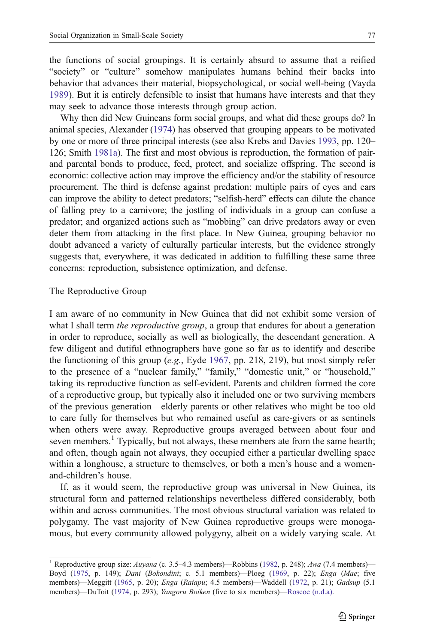the functions of social groupings. It is certainly absurd to assume that a reified "society" or "culture" somehow manipulates humans behind their backs into behavior that advances their material, biopsychological, or social well-being (Vayda [1989\)](#page-47-0). But it is entirely defensible to insist that humans have interests and that they may seek to advance those interests through group action.

Why then did New Guineans form social groups, and what did these groups do? In animal species, Alexander [\(1974](#page-39-0)) has observed that grouping appears to be motivated by one or more of three principal interests (see also Krebs and Davies [1993](#page-43-0), pp. 120– 126; Smith [1981a](#page-46-0)). The first and most obvious is reproduction, the formation of pairand parental bonds to produce, feed, protect, and socialize offspring. The second is economic: collective action may improve the efficiency and/or the stability of resource procurement. The third is defense against predation: multiple pairs of eyes and ears can improve the ability to detect predators; "selfish-herd" effects can dilute the chance of falling prey to a carnivore; the jostling of individuals in a group can confuse a predator; and organized actions such as "mobbing" can drive predators away or even deter them from attacking in the first place. In New Guinea, grouping behavior no doubt advanced a variety of culturally particular interests, but the evidence strongly suggests that, everywhere, it was dedicated in addition to fulfilling these same three concerns: reproduction, subsistence optimization, and defense.

## The Reproductive Group

I am aware of no community in New Guinea that did not exhibit some version of what I shall term *the reproductive group*, a group that endures for about a generation in order to reproduce, socially as well as biologically, the descendant generation. A few diligent and dutiful ethnographers have gone so far as to identify and describe the functioning of this group (e.g., Eyde [1967](#page-41-0), pp. 218, 219), but most simply refer to the presence of a "nuclear family," "family," "domestic unit," or "household," taking its reproductive function as self-evident. Parents and children formed the core of a reproductive group, but typically also it included one or two surviving members of the previous generation—elderly parents or other relatives who might be too old to care fully for themselves but who remained useful as care-givers or as sentinels when others were away. Reproductive groups averaged between about four and seven members.<sup>1</sup> Typically, but not always, these members ate from the same hearth; and often, though again not always, they occupied either a particular dwelling space within a longhouse, a structure to themselves, or both a men's house and a womenand-children's house.

If, as it would seem, the reproductive group was universal in New Guinea, its structural form and patterned relationships nevertheless differed considerably, both within and across communities. The most obvious structural variation was related to polygamy. The vast majority of New Guinea reproductive groups were monogamous, but every community allowed polygyny, albeit on a widely varying scale. At

<sup>&</sup>lt;sup>1</sup> Reproductive group size: Auyana (c. 3.5–4.3 members)—Robbins [\(1982](#page-45-0), p. 248); Awa (7.4 members)— Boyd [\(1975](#page-40-0), p. 149); Dani (Bokondini; c. 5.1 members)—Ploeg [\(1969](#page-45-0), p. 22); Enga (Mae; five members)—Meggitt ([1965,](#page-44-0) p. 20); Enga (Raiapu; 4.5 members)—Waddell ([1972,](#page-47-0) p. 21); Gadsup (5.1 members)—DuToit ([1974,](#page-41-0) p. 293); *Yangoru Boiken* (five to six members)—[Roscoe \(n.d.a\).](#page-45-0)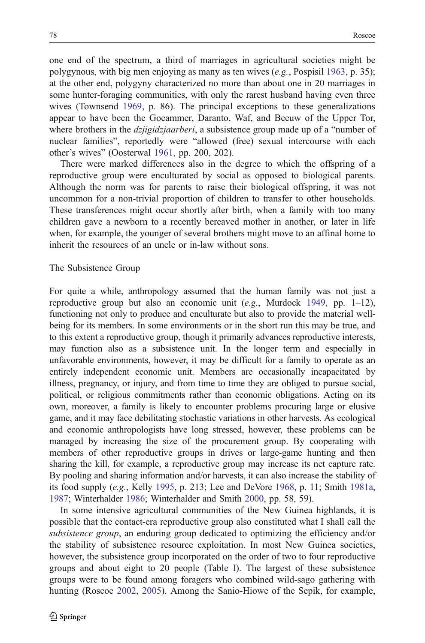one end of the spectrum, a third of marriages in agricultural societies might be polygynous, with big men enjoying as many as ten wives (e.g., Pospisil [1963](#page-45-0), p. 35); at the other end, polygyny characterized no more than about one in 20 marriages in some hunter-foraging communities, with only the rarest husband having even three wives (Townsend [1969,](#page-47-0) p. 86). The principal exceptions to these generalizations appear to have been the Goeammer, Daranto, Waf, and Beeuw of the Upper Tor, where brothers in the *dzjigidzjaarberi*, a subsistence group made up of a "number of nuclear families", reportedly were "allowed (free) sexual intercourse with each other's wives" (Oosterwal [1961](#page-44-0), pp. 200, 202).

There were marked differences also in the degree to which the offspring of a reproductive group were enculturated by social as opposed to biological parents. Although the norm was for parents to raise their biological offspring, it was not uncommon for a non-trivial proportion of children to transfer to other households. These transferences might occur shortly after birth, when a family with too many children gave a newborn to a recently bereaved mother in another, or later in life when, for example, the younger of several brothers might move to an affinal home to inherit the resources of an uncle or in-law without sons.

#### The Subsistence Group

For quite a while, anthropology assumed that the human family was not just a reproductive group but also an economic unit  $(e.g.,$  Murdock [1949,](#page-44-0) pp. 1–12), functioning not only to produce and enculturate but also to provide the material wellbeing for its members. In some environments or in the short run this may be true, and to this extent a reproductive group, though it primarily advances reproductive interests, may function also as a subsistence unit. In the longer term and especially in unfavorable environments, however, it may be difficult for a family to operate as an entirely independent economic unit. Members are occasionally incapacitated by illness, pregnancy, or injury, and from time to time they are obliged to pursue social, political, or religious commitments rather than economic obligations. Acting on its own, moreover, a family is likely to encounter problems procuring large or elusive game, and it may face debilitating stochastic variations in other harvests. As ecological and economic anthropologists have long stressed, however, these problems can be managed by increasing the size of the procurement group. By cooperating with members of other reproductive groups in drives or large-game hunting and then sharing the kill, for example, a reproductive group may increase its net capture rate. By pooling and sharing information and/or harvests, it can also increase the stability of its food supply (e.g., Kelly [1995](#page-43-0), p. 213; Lee and DeVore [1968](#page-44-0), p. 11; Smith [1981a,](#page-46-0) [1987;](#page-46-0) Winterhalder [1986;](#page-47-0) Winterhalder and Smith [2000,](#page-47-0) pp. 58, 59).

In some intensive agricultural communities of the New Guinea highlands, it is possible that the contact-era reproductive group also constituted what I shall call the subsistence group, an enduring group dedicated to optimizing the efficiency and/or the stability of subsistence resource exploitation. In most New Guinea societies, however, the subsistence group incorporated on the order of two to four reproductive groups and about eight to 20 people (Table [I](#page-10-0)). The largest of these subsistence groups were to be found among foragers who combined wild-sago gathering with hunting (Roscoe [2002,](#page-45-0) [2005](#page-46-0)). Among the Sanio-Hiowe of the Sepik, for example,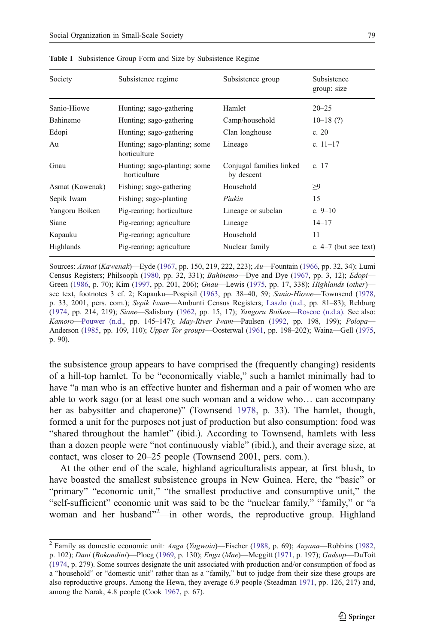| Society          | Subsistence regime                           | Subsistence group                      | Subsistence<br>group: size |
|------------------|----------------------------------------------|----------------------------------------|----------------------------|
| Sanio-Hiowe      | Hunting; sago-gathering                      | Hamlet                                 | $20 - 25$                  |
| Bahinemo         | Hunting; sago-gathering                      | Camp/household                         | $10-18(?)$                 |
| Edopi            | Hunting; sago-gathering                      | Clan longhouse                         | c. 20                      |
| Au               | Hunting; sago-planting; some<br>horticulture | Lineage                                | c. $11-17$                 |
| Gnau             | Hunting; sago-planting; some<br>horticulture | Conjugal families linked<br>by descent | c. 17                      |
| Asmat (Kawenak)  | Fishing; sago-gathering                      | Household                              | $\geq$                     |
| Sepik Iwam       | Fishing; sago-planting                       | Piukin                                 | 15                         |
| Yangoru Boiken   | Pig-rearing; horticulture                    | Lineage or subclan                     | c. $9-10$                  |
| Siane            | Pig-rearing; agriculture                     | Lineage                                | $14 - 17$                  |
| Kapauku          | Pig-rearing; agriculture                     | Household                              | 11                         |
| <b>Highlands</b> | Pig-rearing; agriculture                     | Nuclear family                         | c. $4-7$ (but see text)    |

<span id="page-10-0"></span>Table I Subsistence Group Form and Size by Subsistence Regime

Sources: Asmat (Kawenak)—Eyde [\(1967](#page-41-0), pp. 150, 219, 222, 223); Au—Fountain ([1966,](#page-42-0) pp. 32, 34); Lumi Census Registers; Philsooph [\(1980](#page-45-0), pp. 32, 331); Bahinemo—Dye and Dye [\(1967](#page-41-0), pp. 3, 12); Edopi— Green [\(1986](#page-42-0), p. 70); Kim [\(1997,](#page-43-0) pp. 201, 206); Gnau—Lewis [\(1975,](#page-44-0) pp. 17, 338); Highlands (other)— see text, footnotes 3 cf. 2; Kapauku—Pospisil ([1963,](#page-45-0) pp. 38–40, 59; Sanio-Hiowe—Townsend [\(1978](#page-47-0), p. 33, 2001, pers. com.); Sepik Iwam—Ambunti Census Registers; [Laszlo \(n.d.](#page-44-0), pp. 81–83); Rehburg ([1974,](#page-45-0) pp. 214, 219); Siane—Salisbury [\(1962](#page-46-0), pp. 15, 17); Yangoru Boiken—[Roscoe \(n.d.a\).](#page-45-0) See also: Kamoro—[Pouwer \(n.d.](#page-45-0), pp. 145-147); May-River Iwam—Paulsen ([1992](#page-45-0), pp. 198, 199); Polopa— Anderson ([1985](#page-39-0), pp. 109, 110); Upper Tor groups—Oosterwal ([1961,](#page-44-0) pp. 198–202); Waina—Gell ([1975](#page-42-0), p. 90).

the subsistence group appears to have comprised the (frequently changing) residents of a hill-top hamlet. To be "economically viable," such a hamlet minimally had to have "a man who is an effective hunter and fisherman and a pair of women who are able to work sago (or at least one such woman and a widow who… can accompany her as babysitter and chaperone)" (Townsend [1978,](#page-47-0) p. 33). The hamlet, though, formed a unit for the purposes not just of production but also consumption: food was "shared throughout the hamlet" (ibid.). According to Townsend, hamlets with less than a dozen people were "not continuously viable" (ibid.), and their average size, at contact, was closer to 20–25 people (Townsend 2001, pers. com.).

At the other end of the scale, highland agriculturalists appear, at first blush, to have boasted the smallest subsistence groups in New Guinea. Here, the "basic" or "primary" "economic unit," "the smallest productive and consumptive unit," the "self-sufficient" economic unit was said to be the "nuclear family," "family," or "a woman and her husband"<sup>2</sup>-in other words, the reproductive group. Highland

<sup>&</sup>lt;sup>2</sup> Family as domestic economic unit: Anga (Yagwoia)—Fischer [\(1988](#page-41-0), p. 69); Auyana—Robbins [\(1982](#page-45-0), p. 102); Dani (Bokondini)—Ploeg [\(1969,](#page-45-0) p. 130); Enga (Mae)—Meggitt ([1971](#page-44-0), p. 197); Gadsup—DuToit ([1974,](#page-41-0) p. 279). Some sources designate the unit associated with production and/or consumption of food as a "household" or "domestic unit" rather than as a "family," but to judge from their size these groups are also reproductive groups. Among the Hewa, they average 6.9 people (Steadman [1971](#page-46-0), pp. 126, 217) and, among the Narak, 4.8 people (Cook [1967,](#page-41-0) p. 67).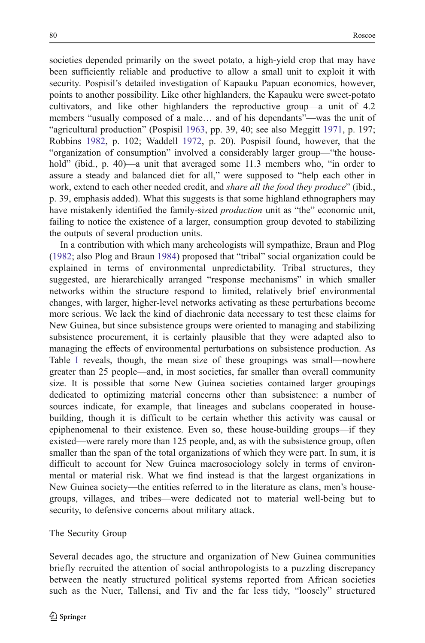societies depended primarily on the sweet potato, a high-yield crop that may have been sufficiently reliable and productive to allow a small unit to exploit it with security. Pospisil's detailed investigation of Kapauku Papuan economics, however, points to another possibility. Like other highlanders, the Kapauku were sweet-potato cultivators, and like other highlanders the reproductive group—a unit of 4.2 members "usually composed of a male… and of his dependants"—was the unit of "agricultural production" (Pospisil [1963](#page-45-0), pp. 39, 40; see also Meggitt [1971](#page-44-0), p. 197; Robbins [1982](#page-45-0), p. 102; Waddell [1972,](#page-47-0) p. 20). Pospisil found, however, that the "organization of consumption" involved a considerably larger group—"the household" (ibid., p. 40)—a unit that averaged some 11.3 members who, "in order to assure a steady and balanced diet for all," were supposed to "help each other in work, extend to each other needed credit, and *share all the food they produce*" (ibid., p. 39, emphasis added). What this suggests is that some highland ethnographers may have mistakenly identified the family-sized *production* unit as "the" economic unit, failing to notice the existence of a larger, consumption group devoted to stabilizing the outputs of several production units.

In a contribution with which many archeologists will sympathize, Braun and Plog [\(1982](#page-40-0); also Plog and Braun [1984\)](#page-45-0) proposed that "tribal" social organization could be explained in terms of environmental unpredictability. Tribal structures, they suggested, are hierarchically arranged "response mechanisms" in which smaller networks within the structure respond to limited, relatively brief environmental changes, with larger, higher-level networks activating as these perturbations become more serious. We lack the kind of diachronic data necessary to test these claims for New Guinea, but since subsistence groups were oriented to managing and stabilizing subsistence procurement, it is certainly plausible that they were adapted also to managing the effects of environmental perturbations on subsistence production. As Table [I](#page-10-0) reveals, though, the mean size of these groupings was small—nowhere greater than 25 people—and, in most societies, far smaller than overall community size. It is possible that some New Guinea societies contained larger groupings dedicated to optimizing material concerns other than subsistence: a number of sources indicate, for example, that lineages and subclans cooperated in housebuilding, though it is difficult to be certain whether this activity was causal or epiphenomenal to their existence. Even so, these house-building groups—if they existed—were rarely more than 125 people, and, as with the subsistence group, often smaller than the span of the total organizations of which they were part. In sum, it is difficult to account for New Guinea macrosociology solely in terms of environmental or material risk. What we find instead is that the largest organizations in New Guinea society—the entities referred to in the literature as clans, men's housegroups, villages, and tribes—were dedicated not to material well-being but to security, to defensive concerns about military attack.

The Security Group

Several decades ago, the structure and organization of New Guinea communities briefly recruited the attention of social anthropologists to a puzzling discrepancy between the neatly structured political systems reported from African societies such as the Nuer, Tallensi, and Tiv and the far less tidy, "loosely" structured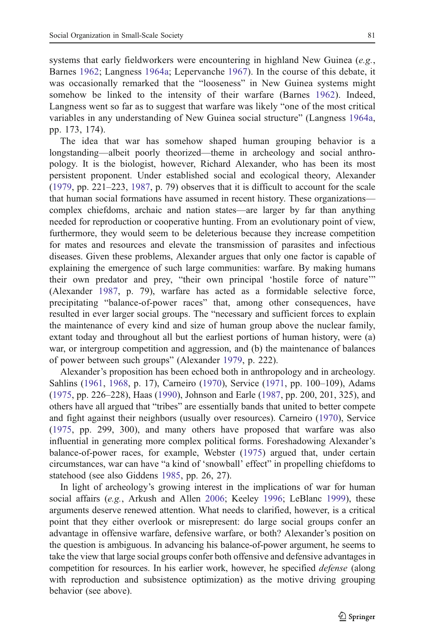systems that early fieldworkers were encountering in highland New Guinea  $(e.g.,)$ Barnes [1962;](#page-39-0) Langness [1964a;](#page-43-0) Lepervanche [1967](#page-44-0)). In the course of this debate, it was occasionally remarked that the "looseness" in New Guinea systems might somehow be linked to the intensity of their warfare (Barnes [1962\)](#page-39-0). Indeed, Langness went so far as to suggest that warfare was likely "one of the most critical variables in any understanding of New Guinea social structure" (Langness [1964a,](#page-43-0) pp. 173, 174).

The idea that war has somehow shaped human grouping behavior is a longstanding—albeit poorly theorized—theme in archeology and social anthropology. It is the biologist, however, Richard Alexander, who has been its most persistent proponent. Under established social and ecological theory, Alexander [\(1979](#page-39-0), pp. 221–223, [1987](#page-39-0), p. 79) observes that it is difficult to account for the scale that human social formations have assumed in recent history. These organizations complex chiefdoms, archaic and nation states—are larger by far than anything needed for reproduction or cooperative hunting. From an evolutionary point of view, furthermore, they would seem to be deleterious because they increase competition for mates and resources and elevate the transmission of parasites and infectious diseases. Given these problems, Alexander argues that only one factor is capable of explaining the emergence of such large communities: warfare. By making humans their own predator and prey, "their own principal 'hostile force of nature'" (Alexander [1987,](#page-39-0) p. 79), warfare has acted as a formidable selective force, precipitating "balance-of-power races" that, among other consequences, have resulted in ever larger social groups. The "necessary and sufficient forces to explain the maintenance of every kind and size of human group above the nuclear family, extant today and throughout all but the earliest portions of human history, were (a) war, or intergroup competition and aggression, and (b) the maintenance of balances of power between such groups" (Alexander [1979,](#page-39-0) p. 222).

Alexander's proposition has been echoed both in anthropology and in archeology. Sahlins ([1961,](#page-46-0) [1968](#page-46-0), p. 17), Carneiro [\(1970](#page-41-0)), Service ([1971,](#page-46-0) pp. 100–109), Adams [\(1975](#page-39-0), pp. 226–228), Haas [\(1990](#page-42-0)), Johnson and Earle [\(1987](#page-43-0), pp. 200, 201, 325), and others have all argued that "tribes" are essentially bands that united to better compete and fight against their neighbors (usually over resources). Carneiro ([1970\)](#page-41-0), Service [\(1975](#page-46-0), pp. 299, 300), and many others have proposed that warfare was also influential in generating more complex political forms. Foreshadowing Alexander's balance-of-power races, for example, Webster [\(1975](#page-47-0)) argued that, under certain circumstances, war can have "a kind of 'snowball' effect" in propelling chiefdoms to statehood (see also Giddens [1985,](#page-42-0) pp. 26, 27).

In light of archeology's growing interest in the implications of war for human social affairs (e.g., Arkush and Allen [2006](#page-39-0); Keeley [1996](#page-43-0); LeBlanc [1999\)](#page-44-0), these arguments deserve renewed attention. What needs to clarified, however, is a critical point that they either overlook or misrepresent: do large social groups confer an advantage in offensive warfare, defensive warfare, or both? Alexander's position on the question is ambiguous. In advancing his balance-of-power argument, he seems to take the view that large social groups confer both offensive and defensive advantages in competition for resources. In his earlier work, however, he specified defense (along with reproduction and subsistence optimization) as the motive driving grouping behavior (see above).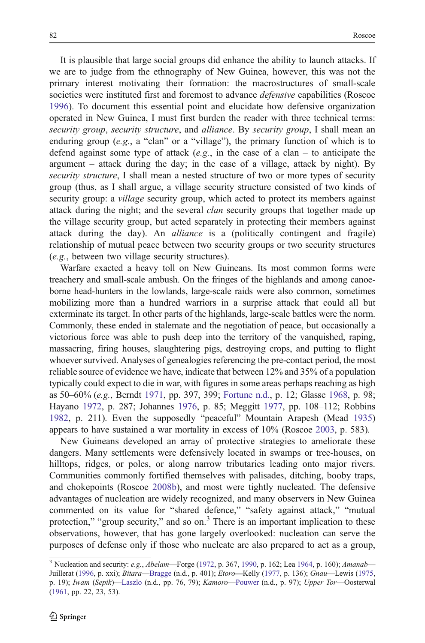It is plausible that large social groups did enhance the ability to launch attacks. If we are to judge from the ethnography of New Guinea, however, this was not the primary interest motivating their formation: the macrostructures of small-scale societies were instituted first and foremost to advance *defensive* capabilities (Roscoe [1996\)](#page-45-0). To document this essential point and elucidate how defensive organization operated in New Guinea, I must first burden the reader with three technical terms: security group, security structure, and alliance. By security group, I shall mean an enduring group  $(e.g., a "clan" or a "village"),$  the primary function of which is to defend against some type of attack  $(e.g., in the case of a claim – to anticipate the$ argument – attack during the day; in the case of a village, attack by night). By security structure, I shall mean a nested structure of two or more types of security group (thus, as I shall argue, a village security structure consisted of two kinds of security group: a village security group, which acted to protect its members against attack during the night; and the several *clan* security groups that together made up the village security group, but acted separately in protecting their members against attack during the day). An alliance is a (politically contingent and fragile) relationship of mutual peace between two security groups or two security structures (e.g., between two village security structures).

Warfare exacted a heavy toll on New Guineans. Its most common forms were treachery and small-scale ambush. On the fringes of the highlands and among canoeborne head-hunters in the lowlands, large-scale raids were also common, sometimes mobilizing more than a hundred warriors in a surprise attack that could all but exterminate its target. In other parts of the highlands, large-scale battles were the norm. Commonly, these ended in stalemate and the negotiation of peace, but occasionally a victorious force was able to push deep into the territory of the vanquished, raping, massacring, firing houses, slaughtering pigs, destroying crops, and putting to flight whoever survived. Analyses of genealogies referencing the pre-contact period, the most reliable source of evidence we have, indicate that between 12% and 35% of a population typically could expect to die in war, with figures in some areas perhaps reaching as high as 50–60% (e.g., Berndt [1971](#page-40-0), pp. 397, 399; [Fortune n.d.](#page-42-0), p. 12; Glasse [1968,](#page-42-0) p. 98; Hayano [1972](#page-42-0), p. 287; Johannes [1976,](#page-43-0) p. 85; Meggitt [1977](#page-44-0), pp. 108–112; Robbins [1982,](#page-45-0) p. 211). Even the supposedly "peaceful" Mountain Arapesh (Mead [1935](#page-44-0)) appears to have sustained a war mortality in excess of 10% (Roscoe [2003](#page-46-0), p. 583).

New Guineans developed an array of protective strategies to ameliorate these dangers. Many settlements were defensively located in swamps or tree-houses, on hilltops, ridges, or poles, or along narrow tributaries leading onto major rivers. Communities commonly fortified themselves with palisades, ditching, booby traps, and chokepoints (Roscoe [2008b\)](#page-46-0), and most were tightly nucleated. The defensive advantages of nucleation are widely recognized, and many observers in New Guinea commented on its value for "shared defence," "safety against attack," "mutual protection," "group security," and so on. $3$  There is an important implication to these observations, however, that has gone largely overlooked: nucleation can serve the purposes of defense only if those who nucleate are also prepared to act as a group,

<sup>&</sup>lt;sup>3</sup> Nucleation and security: e.g., Abelam—Forge ([1972,](#page-41-0) p. 367, [1990](#page-41-0), p. 162; Lea [1964](#page-44-0), p. 160); Amanab— Juillerat [\(1996,](#page-43-0) p. xxi); Bitara—[Bragge](#page-40-0) (n.d., p. 401); Etoro—Kelly ([1977](#page-43-0), p. 136); Gnau—Lewis [\(1975](#page-44-0), p. 19); Iwam (Sepik)—[Laszlo](#page-44-0) (n.d., pp. 76, 79); Kamoro—[Pouwer](#page-45-0) (n.d., p. 97); Upper Tor—Oosterwal ([1961,](#page-44-0) pp. 22, 23, 53).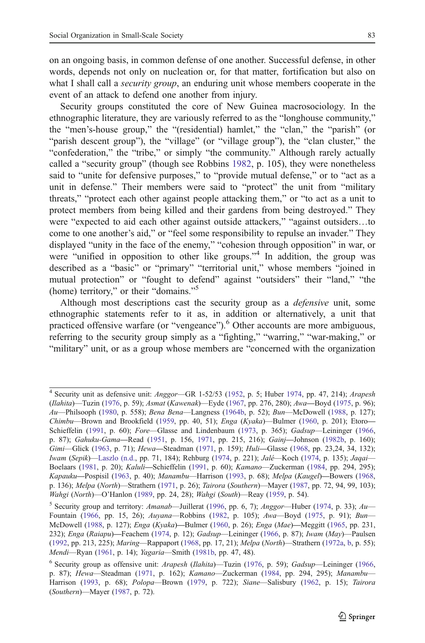on an ongoing basis, in common defense of one another. Successful defense, in other words, depends not only on nucleation or, for that matter, fortification but also on what I shall call a *security group*, an enduring unit whose members cooperate in the event of an attack to defend one another from injury.

Security groups constituted the core of New Guinea macrosociology. In the ethnographic literature, they are variously referred to as the "longhouse community," the "men's-house group," the "(residential) hamlet," the "clan," the "parish" (or "parish descent group"), the "village" (or "village group"), the "clan cluster," the "confederation," the "tribe," or simply "the community." Although rarely actually called a "security group" (though see Robbins [1982,](#page-45-0) p. 105), they were nonetheless said to "unite for defensive purposes," to "provide mutual defense," or to "act as a unit in defense." Their members were said to "protect" the unit from "military threats," "protect each other against people attacking them," or "to act as a unit to protect members from being killed and their gardens from being destroyed." They were "expected to aid each other against outside attackers," "against outsiders…to come to one another's aid," or "feel some responsibility to repulse an invader." They displayed "unity in the face of the enemy," "cohesion through opposition" in war, or were "unified in opposition to other like groups." <sup>4</sup> In addition, the group was described as a "basic" or "primary" "territorial unit," whose members "joined in mutual protection" or "fought to defend" against "outsiders" their "land," "the (home) territory," or their "domains." 5

Although most descriptions cast the security group as a *defensive* unit, some ethnographic statements refer to it as, in addition or alternatively, a unit that practiced offensive warfare (or "vengeance").<sup>6</sup> Other accounts are more ambiguous, referring to the security group simply as a "fighting," "warring," "war-making," or "military" unit, or as a group whose members are "concerned with the organization

<sup>4</sup> Security unit as defensive unit: Anggor—GR 1-52/53 [\(1952](#page-42-0), p. 5; Huber [1974](#page-42-0), pp. 47, 214); Arapesh (Ilahita)—Tuzin ([1976,](#page-47-0) p. 59); Asmat (Kawenak)—Eyde ([1967](#page-41-0), pp. 276, 280); Awa—Boyd [\(1975](#page-40-0), p. 96); Au—Philsooph ([1980,](#page-45-0) p. 558); Bena Bena—Langness ([1964b,](#page-43-0) p. 52); Bun—McDowell ([1988,](#page-44-0) p. 127); Chimbu—Brown and Brookfield [\(1959](#page-40-0), pp. 40, 51); Enga (Kyaka)—Bulmer ([1960,](#page-40-0) p. 201); Etoro— Schieffelin ([1991,](#page-46-0) p. 60); Fore—Glasse and Lindenbaum ([1973,](#page-42-0) p. 365); Gadsup—Leininger [\(1966](#page-44-0), p. 87); Gahuku-Gama—Read ([1951,](#page-45-0) p. 156, [1971](#page-45-0), pp. 215, 216); Gainj—Johnson [\(1982b](#page-43-0), p. 160); Gimi-Glick ([1963](#page-42-0), p. 71); Hewa-Steadman [\(1971](#page-46-0), p. 159); Huli-Glasse ([1968,](#page-42-0) pp. 23,24, 34, 132); Iwam (Sepik)—[Laszlo \(n.d.,](#page-44-0) pp. 71, 184); Rehburg ([1974,](#page-45-0) p. 221); Jalé—Koch [\(1974,](#page-43-0) p. 135); Jaqai— Boelaars [\(1981](#page-40-0), p. 20); Kaluli—Schieffelin ([1991,](#page-46-0) p. 60); Kamano—Zuckerman [\(1984](#page-47-0), pp. 294, 295); Kapauku—Pospisil [\(1963,](#page-45-0) p. 40); Manambu—Harrison [\(1993](#page-42-0), p. 68); Melpa (Kaugel)—Bowers [\(1968](#page-40-0), p. 136); Melpa (North)—Strathern ([1971,](#page-46-0) p. 26); Tairora (Southern)—Mayer [\(1987](#page-44-0), pp. 72, 94, 99, 103); Wahgi (North)—O'Hanlon ([1989,](#page-44-0) pp. 24, 28); Wahgi (South)—Reay ([1959,](#page-45-0) p. 54).

<sup>&</sup>lt;sup>5</sup> Security group and territory: Amanab—Juillerat [\(1996](#page-43-0), pp. 6, 7); Anggor—Huber ([1974,](#page-42-0) p. 33); Au— Fountain ([1966,](#page-42-0) pp. 15, 26); Auyana—Robbins [\(1982,](#page-45-0) p. 105); Awa—Boyd [\(1975](#page-40-0), p. 91); Bun— McDowell ([1988,](#page-44-0) p. 127); Enga (Kyaka)—Bulmer [\(1960,](#page-40-0) p. 26); Enga (Mae)—Meggitt [\(1965](#page-44-0), pp. 231, 232); Enga (Raiapu)—Feachem [\(1974](#page-41-0), p. 12); Gadsup—Leininger [\(1966](#page-44-0), p. 87); Iwam (May)—Paulsen ([1992,](#page-45-0) pp. 213, 225); Maring—Rappaport ([1968,](#page-45-0) pp. 17, 21); Melpa (North)—Strathern ([1972a](#page-46-0), [b](#page-46-0), p. 55); Mendi—Ryan ([1961,](#page-46-0) p. 14); Yagaria—Smith ([1981b,](#page-46-0) pp. 47, 48).

<sup>6</sup> Security group as offensive unit: Arapesh (Ilahita)—Tuzin [\(1976,](#page-47-0) p. 59); Gadsup—Leininger [\(1966](#page-44-0), p. 87); Hewa—Steadman [\(1971](#page-46-0), p. 162); Kamano—Zuckerman ([1984,](#page-47-0) pp. 294, 295); Manambu— Harrison ([1993,](#page-42-0) p. 68); Polopa-Brown [\(1979](#page-40-0), p. 722); Siane-Salisbury ([1962,](#page-46-0) p. 15); Tairora (Southern)—Mayer [\(1987](#page-44-0), p. 72).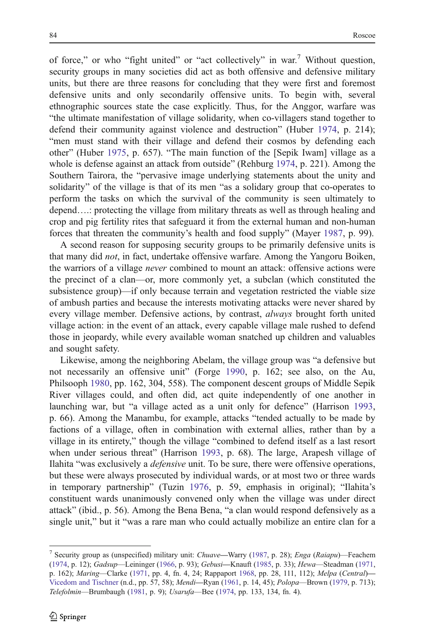of force," or who "fight united" or "act collectively" in war.<sup>7</sup> Without question, security groups in many societies did act as both offensive and defensive military units, but there are three reasons for concluding that they were first and foremost defensive units and only secondarily offensive units. To begin with, several ethnographic sources state the case explicitly. Thus, for the Anggor, warfare was "the ultimate manifestation of village solidarity, when co-villagers stand together to defend their community against violence and destruction" (Huber [1974,](#page-42-0) p. 214); "men must stand with their village and defend their cosmos by defending each other" (Huber [1975,](#page-43-0) p. 657). "The main function of the [Sepik Iwam] village as a whole is defense against an attack from outside" (Rehburg [1974](#page-45-0), p. 221). Among the Southern Tairora, the "pervasive image underlying statements about the unity and solidarity" of the village is that of its men "as a solidary group that co-operates to perform the tasks on which the survival of the community is seen ultimately to depend….: protecting the village from military threats as well as through healing and crop and pig fertility rites that safeguard it from the external human and non-human forces that threaten the community's health and food supply" (Mayer [1987,](#page-44-0) p. 99).

A second reason for supposing security groups to be primarily defensive units is that many did not, in fact, undertake offensive warfare. Among the Yangoru Boiken, the warriors of a village never combined to mount an attack: offensive actions were the precinct of a clan—or, more commonly yet, a subclan (which constituted the subsistence group)—if only because terrain and vegetation restricted the viable size of ambush parties and because the interests motivating attacks were never shared by every village member. Defensive actions, by contrast, always brought forth united village action: in the event of an attack, every capable village male rushed to defend those in jeopardy, while every available woman snatched up children and valuables and sought safety.

Likewise, among the neighboring Abelam, the village group was "a defensive but not necessarily an offensive unit" (Forge [1990](#page-41-0), p. 162; see also, on the Au, Philsooph [1980](#page-45-0), pp. 162, 304, 558). The component descent groups of Middle Sepik River villages could, and often did, act quite independently of one another in launching war, but "a village acted as a unit only for defence" (Harrison [1993,](#page-42-0) p. 66). Among the Manambu, for example, attacks "tended actually to be made by factions of a village, often in combination with external allies, rather than by a village in its entirety," though the village "combined to defend itself as a last resort when under serious threat" (Harrison [1993](#page-42-0), p. 68). The large, Arapesh village of Ilahita "was exclusively a defensive unit. To be sure, there were offensive operations, but these were always prosecuted by individual wards, or at most two or three wards in temporary partnership" (Tuzin [1976,](#page-47-0) p. 59, emphasis in original); "Ilahita's constituent wards unanimously convened only when the village was under direct attack" (ibid., p. 56). Among the Bena Bena, "a clan would respond defensively as a single unit," but it "was a rare man who could actually mobilize an entire clan for a

<sup>7</sup> Security group as (unspecified) military unit: Chuave—Warry [\(1987](#page-47-0), p. 28); Enga (Raiapu)—Feachem ([1974,](#page-41-0) p. 12); Gadsup—Leininger ([1966,](#page-44-0) p. 93); Gebusi—Knauft ([1985,](#page-43-0) p. 33); Hewa—Steadman [\(1971](#page-46-0), p. 162); Maring—Clarke ([1971,](#page-41-0) pp. 4, fn. 4, 24; Rappaport [1968](#page-45-0), pp. 28, 111, 112); Melpa (Central)— [Vicedom and Tischner](#page-47-0) (n.d., pp. 57, 58); Mendi—Ryan [\(1961](#page-46-0), p. 14, 45); Polopa—Brown ([1979](#page-40-0), p. 713); Telefolmin—Brumbaugh [\(1981](#page-40-0), p. 9); Usarufa—Bee [\(1974](#page-40-0), pp. 133, 134, fn. 4).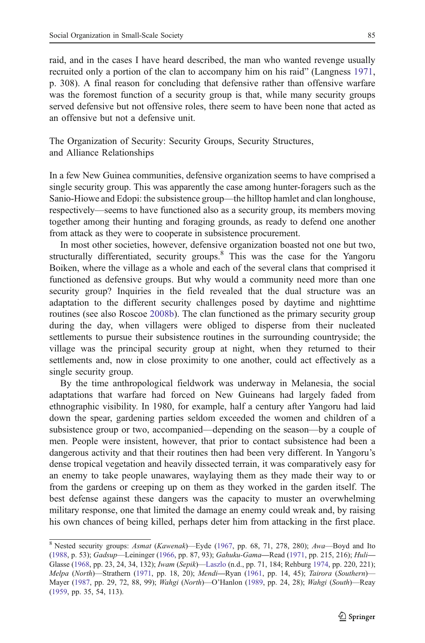raid, and in the cases I have heard described, the man who wanted revenge usually recruited only a portion of the clan to accompany him on his raid" (Langness [1971,](#page-43-0) p. 308). A final reason for concluding that defensive rather than offensive warfare was the foremost function of a security group is that, while many security groups served defensive but not offensive roles, there seem to have been none that acted as an offensive but not a defensive unit.

The Organization of Security: Security Groups, Security Structures, and Alliance Relationships

In a few New Guinea communities, defensive organization seems to have comprised a single security group. This was apparently the case among hunter-foragers such as the Sanio-Hiowe and Edopi: the subsistence group—the hilltop hamlet and clan longhouse, respectively—seems to have functioned also as a security group, its members moving together among their hunting and foraging grounds, as ready to defend one another from attack as they were to cooperate in subsistence procurement.

In most other societies, however, defensive organization boasted not one but two, structurally differentiated, security groups.<sup>8</sup> This was the case for the Yangoru Boiken, where the village as a whole and each of the several clans that comprised it functioned as defensive groups. But why would a community need more than one security group? Inquiries in the field revealed that the dual structure was an adaptation to the different security challenges posed by daytime and nighttime routines (see also Roscoe [2008b](#page-46-0)). The clan functioned as the primary security group during the day, when villagers were obliged to disperse from their nucleated settlements to pursue their subsistence routines in the surrounding countryside; the village was the principal security group at night, when they returned to their settlements and, now in close proximity to one another, could act effectively as a single security group.

By the time anthropological fieldwork was underway in Melanesia, the social adaptations that warfare had forced on New Guineans had largely faded from ethnographic visibility. In 1980, for example, half a century after Yangoru had laid down the spear, gardening parties seldom exceeded the women and children of a subsistence group or two, accompanied—depending on the season—by a couple of men. People were insistent, however, that prior to contact subsistence had been a dangerous activity and that their routines then had been very different. In Yangoru's dense tropical vegetation and heavily dissected terrain, it was comparatively easy for an enemy to take people unawares, waylaying them as they made their way to or from the gardens or creeping up on them as they worked in the garden itself. The best defense against these dangers was the capacity to muster an overwhelming military response, one that limited the damage an enemy could wreak and, by raising his own chances of being killed, perhaps deter him from attacking in the first place.

<sup>8</sup> Nested security groups: Asmat (Kawenak)—Eyde [\(1967](#page-41-0), pp. 68, 71, 278, 280); Awa—Boyd and Ito ([1988,](#page-40-0) p. 53); Gadsup—Leininger [\(1966](#page-44-0), pp. 87, 93); Gahuku-Gama—Read [\(1971](#page-45-0), pp. 215, 216); Huli— Glasse ([1968](#page-42-0), pp. 23, 24, 34, 132); Iwam (Sepik)—[Laszlo](#page-44-0) (n.d., pp. 71, 184; Rehburg [1974,](#page-45-0) pp. 220, 221); Melpa (North)—Strathern ([1971,](#page-46-0) pp. 18, 20); Mendi—Ryan [\(1961](#page-46-0), pp. 14, 45); Tairora (Southern)— Mayer [\(1987,](#page-44-0) pp. 29, 72, 88, 99); Wahgi (North)—O'Hanlon [\(1989](#page-44-0), pp. 24, 28); Wahgi (South)—Reay ([1959,](#page-45-0) pp. 35, 54, 113).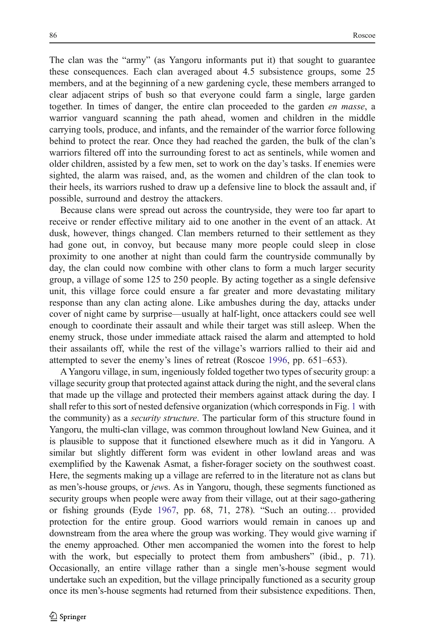The clan was the "army" (as Yangoru informants put it) that sought to guarantee these consequences. Each clan averaged about 4.5 subsistence groups, some 25 members, and at the beginning of a new gardening cycle, these members arranged to clear adjacent strips of bush so that everyone could farm a single, large garden together. In times of danger, the entire clan proceeded to the garden en masse, a warrior vanguard scanning the path ahead, women and children in the middle carrying tools, produce, and infants, and the remainder of the warrior force following behind to protect the rear. Once they had reached the garden, the bulk of the clan's warriors filtered off into the surrounding forest to act as sentinels, while women and older children, assisted by a few men, set to work on the day's tasks. If enemies were sighted, the alarm was raised, and, as the women and children of the clan took to their heels, its warriors rushed to draw up a defensive line to block the assault and, if possible, surround and destroy the attackers.

Because clans were spread out across the countryside, they were too far apart to receive or render effective military aid to one another in the event of an attack. At dusk, however, things changed. Clan members returned to their settlement as they had gone out, in convoy, but because many more people could sleep in close proximity to one another at night than could farm the countryside communally by day, the clan could now combine with other clans to form a much larger security group, a village of some 125 to 250 people. By acting together as a single defensive unit, this village force could ensure a far greater and more devastating military response than any clan acting alone. Like ambushes during the day, attacks under cover of night came by surprise—usually at half-light, once attackers could see well enough to coordinate their assault and while their target was still asleep. When the enemy struck, those under immediate attack raised the alarm and attempted to hold their assailants off, while the rest of the village's warriors rallied to their aid and attempted to sever the enemy's lines of retreat (Roscoe [1996](#page-45-0), pp. 651–653).

A Yangoru village, in sum, ingeniously folded together two types of security group: a village security group that protected against attack during the night, and the several clans that made up the village and protected their members against attack during the day. I shall refer to this sort of nested defensive organization (which corresponds in Fig. [1](#page-4-0) with the community) as a *security structure*. The particular form of this structure found in Yangoru, the multi-clan village, was common throughout lowland New Guinea, and it is plausible to suppose that it functioned elsewhere much as it did in Yangoru. A similar but slightly different form was evident in other lowland areas and was exemplified by the Kawenak Asmat, a fisher-forager society on the southwest coast. Here, the segments making up a village are referred to in the literature not as clans but as men's-house groups, or jews. As in Yangoru, though, these segments functioned as security groups when people were away from their village, out at their sago-gathering or fishing grounds (Eyde [1967](#page-41-0), pp. 68, 71, 278). "Such an outing… provided protection for the entire group. Good warriors would remain in canoes up and downstream from the area where the group was working. They would give warning if the enemy approached. Other men accompanied the women into the forest to help with the work, but especially to protect them from ambushers" (ibid., p. 71). Occasionally, an entire village rather than a single men's-house segment would undertake such an expedition, but the village principally functioned as a security group once its men's-house segments had returned from their subsistence expeditions. Then,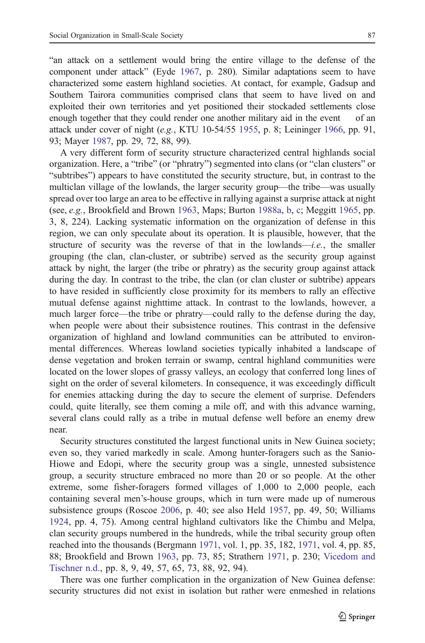"an attack on a settlement would bring the entire village to the defense of the component under attack" (Eyde [1967,](#page-41-0) p. 280). Similar adaptations seem to have characterized some eastern highland societies. At contact, for example, Gadsup and Southern Tairora communities comprised clans that seem to have lived on and exploited their own territories and yet positioned their stockaded settlements close enough together that they could render one another military aid in the event of an attack under cover of night (e.g., KTU 10-54/55 [1955,](#page-43-0) p. 8; Leininger [1966,](#page-44-0) pp. 91, 93; Mayer [1987,](#page-44-0) pp. 29, 72, 88, 99).

A very different form of security structure characterized central highlands social organization. Here, a "tribe" (or "phratry") segmented into clans (or "clan clusters" or "subtribes") appears to have constituted the security structure, but, in contrast to the multiclan village of the lowlands, the larger security group—the tribe—was usually spread over too large an area to be effective in rallying against a surprise attack at night (see, e.g., Brookfield and Brown [1963,](#page-40-0) Maps; Burton [1988a](#page-40-0), [b](#page-40-0), [c](#page-41-0); Meggitt [1965,](#page-44-0) pp. 3, 8, 224). Lacking systematic information on the organization of defense in this region, we can only speculate about its operation. It is plausible, however, that the structure of security was the reverse of that in the lowlands—*i.e.*, the smaller grouping (the clan, clan-cluster, or subtribe) served as the security group against attack by night, the larger (the tribe or phratry) as the security group against attack during the day. In contrast to the tribe, the clan (or clan cluster or subtribe) appears to have resided in sufficiently close proximity for its members to rally an effective mutual defense against nighttime attack. In contrast to the lowlands, however, a much larger force—the tribe or phratry—could rally to the defense during the day, when people were about their subsistence routines. This contrast in the defensive organization of highland and lowland communities can be attributed to environmental differences. Whereas lowland societies typically inhabited a landscape of dense vegetation and broken terrain or swamp, central highland communities were located on the lower slopes of grassy valleys, an ecology that conferred long lines of sight on the order of several kilometers. In consequence, it was exceedingly difficult for enemies attacking during the day to secure the element of surprise. Defenders could, quite literally, see them coming a mile off, and with this advance warning, several clans could rally as a tribe in mutual defense well before an enemy drew near.

Security structures constituted the largest functional units in New Guinea society; even so, they varied markedly in scale. Among hunter-foragers such as the Sanio-Hiowe and Edopi, where the security group was a single, unnested subsistence group, a security structure embraced no more than 20 or so people. At the other extreme, some fisher-foragers formed villages of 1,000 to 2,000 people, each containing several men's-house groups, which in turn were made up of numerous subsistence groups (Roscoe [2006](#page-46-0), p. 40; see also Held [1957](#page-42-0), pp. 49, 50; Williams [1924,](#page-47-0) pp. 4, 75). Among central highland cultivators like the Chimbu and Melpa, clan security groups numbered in the hundreds, while the tribal security group often reached into the thousands (Bergmann [1971,](#page-40-0) vol. 1, pp. 35, 182, [1971](#page-40-0), vol. 4, pp. 85, 88; Brookfield and Brown [1963](#page-40-0), pp. 73, 85; Strathern [1971](#page-46-0), p. 230; [Vicedom and](#page-47-0) [Tischner n.d.,](#page-47-0) pp. 8, 9, 49, 57, 65, 73, 88, 92, 94).

There was one further complication in the organization of New Guinea defense: security structures did not exist in isolation but rather were enmeshed in relations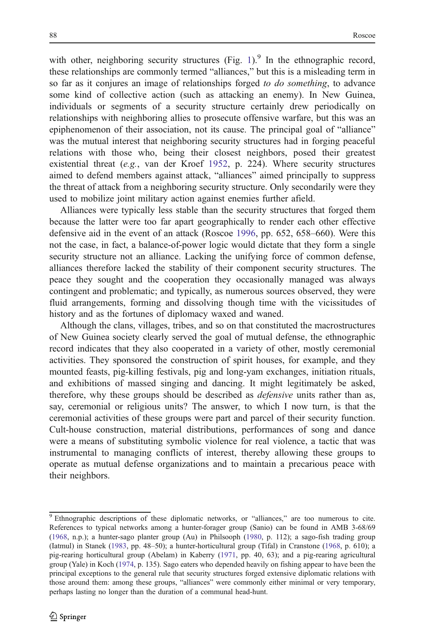with other, neighboring security structures  $(Fig. 1)$  $(Fig. 1)$ .<sup>9</sup> In the ethnographic record, these relationships are commonly termed "alliances," but this is a misleading term in so far as it conjures an image of relationships forged to do something, to advance some kind of collective action (such as attacking an enemy). In New Guinea, individuals or segments of a security structure certainly drew periodically on relationships with neighboring allies to prosecute offensive warfare, but this was an epiphenomenon of their association, not its cause. The principal goal of "alliance" was the mutual interest that neighboring security structures had in forging peaceful relations with those who, being their closest neighbors, posed their greatest existential threat (e.g., van der Kroef [1952,](#page-47-0) p. 224). Where security structures aimed to defend members against attack, "alliances" aimed principally to suppress the threat of attack from a neighboring security structure. Only secondarily were they used to mobilize joint military action against enemies further afield.

Alliances were typically less stable than the security structures that forged them because the latter were too far apart geographically to render each other effective defensive aid in the event of an attack (Roscoe [1996](#page-45-0), pp. 652, 658–660). Were this not the case, in fact, a balance-of-power logic would dictate that they form a single security structure not an alliance. Lacking the unifying force of common defense, alliances therefore lacked the stability of their component security structures. The peace they sought and the cooperation they occasionally managed was always contingent and problematic; and typically, as numerous sources observed, they were fluid arrangements, forming and dissolving though time with the vicissitudes of history and as the fortunes of diplomacy waxed and waned.

Although the clans, villages, tribes, and so on that constituted the macrostructures of New Guinea society clearly served the goal of mutual defense, the ethnographic record indicates that they also cooperated in a variety of other, mostly ceremonial activities. They sponsored the construction of spirit houses, for example, and they mounted feasts, pig-killing festivals, pig and long-yam exchanges, initiation rituals, and exhibitions of massed singing and dancing. It might legitimately be asked, therefore, why these groups should be described as defensive units rather than as, say, ceremonial or religious units? The answer, to which I now turn, is that the ceremonial activities of these groups were part and parcel of their security function. Cult-house construction, material distributions, performances of song and dance were a means of substituting symbolic violence for real violence, a tactic that was instrumental to managing conflicts of interest, thereby allowing these groups to operate as mutual defense organizations and to maintain a precarious peace with their neighbors.

<sup>&</sup>lt;sup>9</sup> Ethnographic descriptions of these diplomatic networks, or "alliances," are too numerous to cite. References to typical networks among a hunter-forager group (Sanio) can be found in AMB 3-68/69 ([1968,](#page-39-0) n.p.); a hunter-sago planter group (Au) in Philsooph ([1980,](#page-45-0) p. 112); a sago-fish trading group (Iatmul) in Stanek ([1983,](#page-46-0) pp. 48–50); a hunter-horticultural group (Tifal) in Cranstone [\(1968](#page-41-0), p. 610); a pig-rearing horticultural group (Abelam) in Kaberry [\(1971](#page-43-0), pp. 40, 63); and a pig-rearing agricultural group (Yale) in Koch ([1974](#page-43-0), p. 135). Sago eaters who depended heavily on fishing appear to have been the principal exceptions to the general rule that security structures forged extensive diplomatic relations with those around them: among these groups, "alliances" were commonly either minimal or very temporary, perhaps lasting no longer than the duration of a communal head-hunt.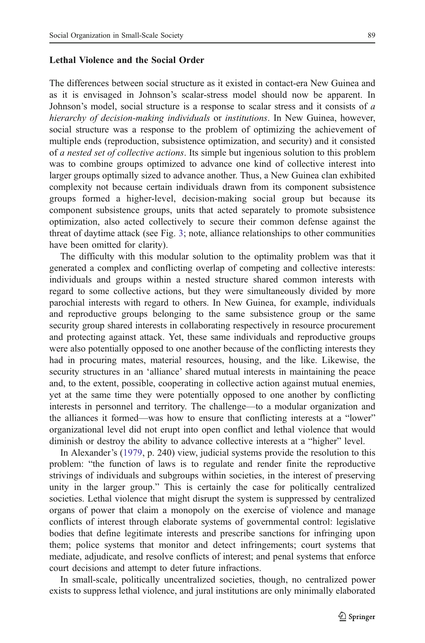#### Lethal Violence and the Social Order

The differences between social structure as it existed in contact-era New Guinea and as it is envisaged in Johnson's scalar-stress model should now be apparent. In Johnson's model, social structure is a response to scalar stress and it consists of  $a$ hierarchy of decision-making individuals or institutions. In New Guinea, however, social structure was a response to the problem of optimizing the achievement of multiple ends (reproduction, subsistence optimization, and security) and it consisted of a nested set of collective actions. Its simple but ingenious solution to this problem was to combine groups optimized to advance one kind of collective interest into larger groups optimally sized to advance another. Thus, a New Guinea clan exhibited complexity not because certain individuals drawn from its component subsistence groups formed a higher-level, decision-making social group but because its component subsistence groups, units that acted separately to promote subsistence optimization, also acted collectively to secure their common defense against the threat of daytime attack (see Fig. [3;](#page-7-0) note, alliance relationships to other communities have been omitted for clarity).

The difficulty with this modular solution to the optimality problem was that it generated a complex and conflicting overlap of competing and collective interests: individuals and groups within a nested structure shared common interests with regard to some collective actions, but they were simultaneously divided by more parochial interests with regard to others. In New Guinea, for example, individuals and reproductive groups belonging to the same subsistence group or the same security group shared interests in collaborating respectively in resource procurement and protecting against attack. Yet, these same individuals and reproductive groups were also potentially opposed to one another because of the conflicting interests they had in procuring mates, material resources, housing, and the like. Likewise, the security structures in an 'alliance' shared mutual interests in maintaining the peace and, to the extent, possible, cooperating in collective action against mutual enemies, yet at the same time they were potentially opposed to one another by conflicting interests in personnel and territory. The challenge—to a modular organization and the alliances it formed—was how to ensure that conflicting interests at a "lower" organizational level did not erupt into open conflict and lethal violence that would diminish or destroy the ability to advance collective interests at a "higher" level.

In Alexander's [\(1979](#page-39-0), p. 240) view, judicial systems provide the resolution to this problem: "the function of laws is to regulate and render finite the reproductive strivings of individuals and subgroups within societies, in the interest of preserving unity in the larger group." This is certainly the case for politically centralized societies. Lethal violence that might disrupt the system is suppressed by centralized organs of power that claim a monopoly on the exercise of violence and manage conflicts of interest through elaborate systems of governmental control: legislative bodies that define legitimate interests and prescribe sanctions for infringing upon them; police systems that monitor and detect infringements; court systems that mediate, adjudicate, and resolve conflicts of interest; and penal systems that enforce court decisions and attempt to deter future infractions.

In small-scale, politically uncentralized societies, though, no centralized power exists to suppress lethal violence, and jural institutions are only minimally elaborated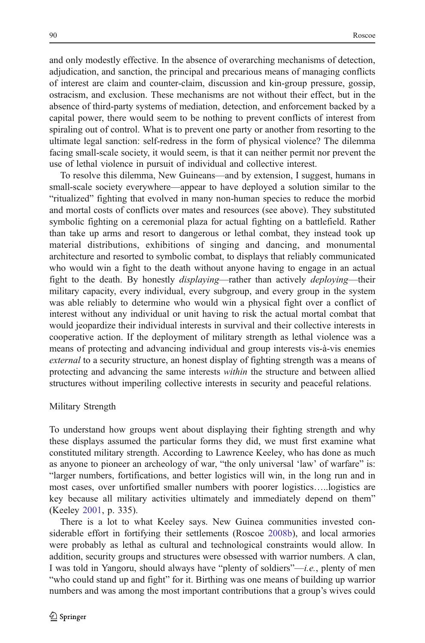and only modestly effective. In the absence of overarching mechanisms of detection, adjudication, and sanction, the principal and precarious means of managing conflicts of interest are claim and counter-claim, discussion and kin-group pressure, gossip, ostracism, and exclusion. These mechanisms are not without their effect, but in the absence of third-party systems of mediation, detection, and enforcement backed by a capital power, there would seem to be nothing to prevent conflicts of interest from spiraling out of control. What is to prevent one party or another from resorting to the ultimate legal sanction: self-redress in the form of physical violence? The dilemma facing small-scale society, it would seem, is that it can neither permit nor prevent the use of lethal violence in pursuit of individual and collective interest.

To resolve this dilemma, New Guineans—and by extension, I suggest, humans in small-scale society everywhere—appear to have deployed a solution similar to the "ritualized" fighting that evolved in many non-human species to reduce the morbid and mortal costs of conflicts over mates and resources (see above). They substituted symbolic fighting on a ceremonial plaza for actual fighting on a battlefield. Rather than take up arms and resort to dangerous or lethal combat, they instead took up material distributions, exhibitions of singing and dancing, and monumental architecture and resorted to symbolic combat, to displays that reliably communicated who would win a fight to the death without anyone having to engage in an actual fight to the death. By honestly displaying—rather than actively deploying—their military capacity, every individual, every subgroup, and every group in the system was able reliably to determine who would win a physical fight over a conflict of interest without any individual or unit having to risk the actual mortal combat that would jeopardize their individual interests in survival and their collective interests in cooperative action. If the deployment of military strength as lethal violence was a means of protecting and advancing individual and group interests vis-à-vis enemies external to a security structure, an honest display of fighting strength was a means of protecting and advancing the same interests within the structure and between allied structures without imperiling collective interests in security and peaceful relations.

#### Military Strength

To understand how groups went about displaying their fighting strength and why these displays assumed the particular forms they did, we must first examine what constituted military strength. According to Lawrence Keeley, who has done as much as anyone to pioneer an archeology of war, "the only universal 'law' of warfare" is: "larger numbers, fortifications, and better logistics will win, in the long run and in most cases, over unfortified smaller numbers with poorer logistics…..logistics are key because all military activities ultimately and immediately depend on them" (Keeley [2001](#page-43-0), p. 335).

There is a lot to what Keeley says. New Guinea communities invested considerable effort in fortifying their settlements (Roscoe [2008b](#page-46-0)), and local armories were probably as lethal as cultural and technological constraints would allow. In addition, security groups and structures were obsessed with warrior numbers. A clan, I was told in Yangoru, should always have "plenty of soldiers"—i.e., plenty of men "who could stand up and fight" for it. Birthing was one means of building up warrior numbers and was among the most important contributions that a group's wives could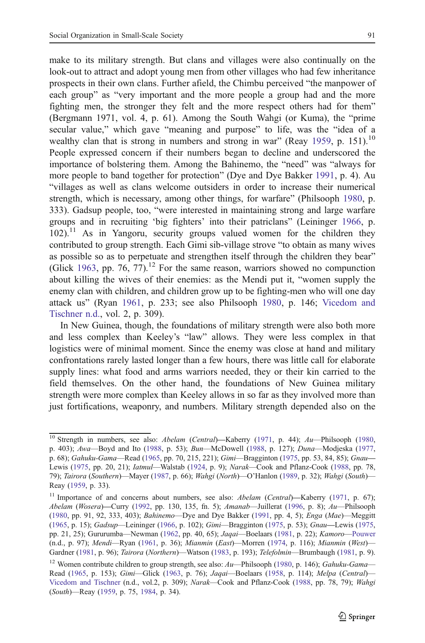make to its military strength. But clans and villages were also continually on the look-out to attract and adopt young men from other villages who had few inheritance prospects in their own clans. Further afield, the Chimbu perceived "the manpower of each group" as "very important and the more people a group had and the more fighting men, the stronger they felt and the more respect others had for them" (Bergmann 1971, vol. 4, p. 61). Among the South Wahgi (or Kuma), the "prime secular value," which gave "meaning and purpose" to life, was the "idea of a wealthy clan that is strong in numbers and strong in war" (Reay [1959](#page-45-0), p. 151).<sup>10</sup> People expressed concern if their numbers began to decline and underscored the importance of bolstering them. Among the Bahinemo, the "need" was "always for more people to band together for protection" (Dye and Dye Bakker [1991](#page-41-0), p. 4). Au "villages as well as clans welcome outsiders in order to increase their numerical strength, which is necessary, among other things, for warfare" (Philsooph [1980,](#page-45-0) p. 333). Gadsup people, too, "were interested in maintaining strong and large warfare groups and in recruiting 'big fighters' into their patriclans" (Leininger [1966,](#page-44-0) p.  $102$ ).<sup>11</sup> As in Yangoru, security groups valued women for the children they contributed to group strength. Each Gimi sib-village strove "to obtain as many wives as possible so as to perpetuate and strengthen itself through the children they bear" (Glick [1963,](#page-42-0) pp. 76, 77).<sup>12</sup> For the same reason, warriors showed no compunction about killing the wives of their enemies: as the Mendi put it, "women supply the enemy clan with children, and children grow up to be fighting-men who will one day attack us" (Ryan [1961](#page-46-0), p. 233; see also Philsooph [1980](#page-45-0), p. 146; [Vicedom and](#page-47-0) [Tischner n.d.,](#page-47-0) vol. 2, p. 309).

In New Guinea, though, the foundations of military strength were also both more and less complex than Keeley's "law" allows. They were less complex in that logistics were of minimal moment. Since the enemy was close at hand and military confrontations rarely lasted longer than a few hours, there was little call for elaborate supply lines: what food and arms warriors needed, they or their kin carried to the field themselves. On the other hand, the foundations of New Guinea military strength were more complex than Keeley allows in so far as they involved more than just fortifications, weaponry, and numbers. Military strength depended also on the

<sup>&</sup>lt;sup>10</sup> Strength in numbers, see also: Abelam (Central)—Kaberry ([1971,](#page-43-0) p. 44); Au—Philsooph [\(1980](#page-45-0), p. 403); Awa-Boyd and Ito [\(1988](#page-40-0), p. 53); Bun-McDowell ([1988,](#page-44-0) p. 127); Duna-Modjeska [\(1977](#page-44-0), p. 68); Gahuku-Gama-Read ([1965](#page-45-0), pp. 70, 215, 221); Gimi-Bragginton [\(1975,](#page-40-0) pp. 53, 84, 85); Gnau-Lewis ([1975,](#page-44-0) pp. 20, 21); Iatmul—Walstab [\(1924](#page-47-0), p. 9); Narak—Cook and Pflanz-Cook ([1988,](#page-41-0) pp. 78, 79); Tairora (Southern)—Mayer ([1987,](#page-44-0) p. 66); Wahgi (North)—O'Hanlon ([1989,](#page-44-0) p. 32); Wahgi (South)— Reay [\(1959](#page-45-0), p. 33).

<sup>&</sup>lt;sup>11</sup> Importance of and concerns about numbers, see also: Abelam (Central)—Kaberry ([1971](#page-43-0), p. 67); Abelam (Wosera)—Curry [\(1992](#page-41-0), pp. 130, 135, fn. 5); Amanab—Juillerat [\(1996](#page-43-0), p. 8); Au—Philsooph ([1980,](#page-45-0) pp. 91, 92, 333, 403); Bahinemo—Dye and Dye Bakker [\(1991,](#page-41-0) pp. 4, 5); Enga (Mae)—Meggitt ([1965,](#page-44-0) p. 15); Gadsup—Leininger [\(1966](#page-44-0), p. 102); Gimi—Bragginton [\(1975,](#page-40-0) p. 53); Gnau—Lewis [\(1975](#page-44-0), pp. 21, 25); Gururumba—Newman ([1962,](#page-44-0) pp. 40, 65); Jaqai—Boelaars ([1981,](#page-40-0) p. 22); Kamoro—[Pouwer](#page-45-0) (n.d., p. 97); Mendi—Ryan ([1961,](#page-46-0) p. 36); Mianmin (East)—Morren [\(1974](#page-44-0), p. 116); Mianmin (West)— Gardner ([1981,](#page-42-0) p. 96); Tairora (Northern)—Watson [\(1983](#page-47-0), p. 193); Telefolmin—Brumbaugh [\(1981](#page-40-0), p. 9).

<sup>&</sup>lt;sup>12</sup> Women contribute children to group strength, see also:  $Au$ —Philsooph ([1980,](#page-45-0) p. 146); Gahuku-Gama— Read [\(1965](#page-45-0), p. 153); Gimi-Glick [\(1963](#page-42-0), p. 76); Jaqai-Boelaars [\(1958,](#page-40-0) p. 114); Melpa (Central)-[Vicedom and Tischner](#page-47-0) (n.d., vol.2, p. 309); Narak—Cook and Pflanz-Cook [\(1988](#page-41-0), pp. 78, 79); Wahgi (South)—Reay ([1959](#page-45-0), p. 75, [1984](#page-45-0), p. 34).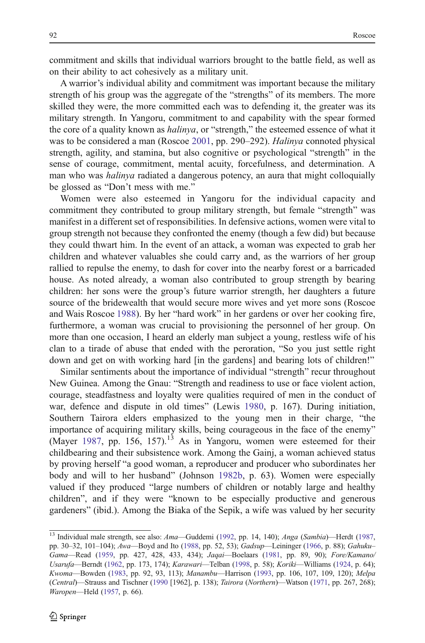commitment and skills that individual warriors brought to the battle field, as well as on their ability to act cohesively as a military unit.

A warrior's individual ability and commitment was important because the military strength of his group was the aggregate of the "strengths" of its members. The more skilled they were, the more committed each was to defending it, the greater was its military strength. In Yangoru, commitment to and capability with the spear formed the core of a quality known as *halinya*, or "strength," the esteemed essence of what it was to be considered a man (Roscoe [2001](#page-45-0), pp. 290–292). *Halinya* connoted physical strength, agility, and stamina, but also cognitive or psychological "strength" in the sense of courage, commitment, mental acuity, forcefulness, and determination. A man who was *halinya* radiated a dangerous potency, an aura that might colloquially be glossed as "Don't mess with me."

Women were also esteemed in Yangoru for the individual capacity and commitment they contributed to group military strength, but female "strength" was manifest in a different set of responsibilities. In defensive actions, women were vital to group strength not because they confronted the enemy (though a few did) but because they could thwart him. In the event of an attack, a woman was expected to grab her children and whatever valuables she could carry and, as the warriors of her group rallied to repulse the enemy, to dash for cover into the nearby forest or a barricaded house. As noted already, a woman also contributed to group strength by bearing children: her sons were the group's future warrior strength, her daughters a future source of the bridewealth that would secure more wives and yet more sons (Roscoe and Wais Roscoe [1988\)](#page-46-0). By her "hard work" in her gardens or over her cooking fire, furthermore, a woman was crucial to provisioning the personnel of her group. On more than one occasion, I heard an elderly man subject a young, restless wife of his clan to a tirade of abuse that ended with the peroration, "So you just settle right down and get on with working hard [in the gardens] and bearing lots of children!"

Similar sentiments about the importance of individual "strength" recur throughout New Guinea. Among the Gnau: "Strength and readiness to use or face violent action, courage, steadfastness and loyalty were qualities required of men in the conduct of war, defence and dispute in old times" (Lewis [1980,](#page-44-0) p. 167). During initiation, Southern Tairora elders emphasized to the young men in their charge, "the importance of acquiring military skills, being courageous in the face of the enemy" (Mayer [1987,](#page-44-0) pp. 156, 157).<sup>13</sup> As in Yangoru, women were esteemed for their childbearing and their subsistence work. Among the Gainj, a woman achieved status by proving herself "a good woman, a reproducer and producer who subordinates her body and will to her husband" (Johnson [1982b,](#page-43-0) p. 63). Women were especially valued if they produced "large numbers of children or notably large and healthy children", and if they were "known to be especially productive and generous gardeners" (ibid.). Among the Biaka of the Sepik, a wife was valued by her security

<sup>&</sup>lt;sup>13</sup> Individual male strength, see also: Ama-Guddemi [\(1992](#page-42-0), pp. 14, 140); Anga (Sambia)-Herdt ([1987](#page-42-0), pp. 30–32, 101–104); Awa—Boyd and Ito ([1988](#page-40-0), pp. 52, 53); Gadsup—Leininger [\(1966](#page-44-0), p. 88); Gahuku– Gama-Read [\(1959](#page-45-0), pp. 427, 428, 433, 434); Jaqai-Boelaars [\(1981,](#page-40-0) pp. 89, 90); Fore/Kamano/ Usarufa—Berndt ([1962](#page-40-0), pp. 173, 174); Karawari—Telban ([1998,](#page-47-0) p. 58); Koriki—Williams [\(1924,](#page-47-0) p. 64); Kwoma—Bowden ([1983](#page-40-0), pp. 92, 93, 113); Manambu—Harrison [\(1993,](#page-42-0) pp. 106, 107, 109, 120); Melpa (Central)—Strauss and Tischner ([1990](#page-47-0) [1962], p. 138); Tairora (Northern)—Watson ([1971](#page-47-0), pp. 267, 268); Waropen—Held ([1957,](#page-42-0) p. 66).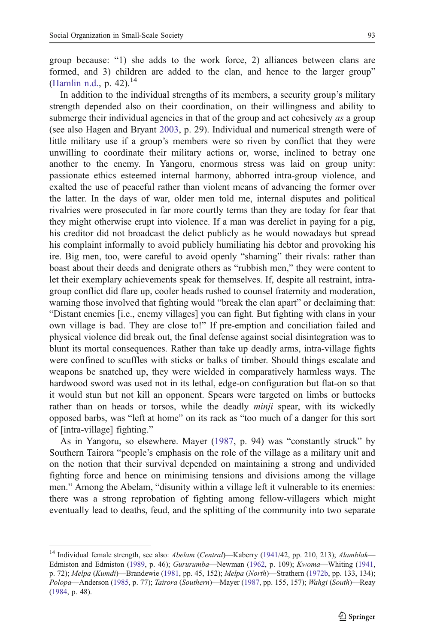group because: "1) she adds to the work force, 2) alliances between clans are formed, and 3) children are added to the clan, and hence to the larger group" [\(Hamlin n.d.](#page-42-0), p. 42).<sup>14</sup>

In addition to the individual strengths of its members, a security group's military strength depended also on their coordination, on their willingness and ability to submerge their individual agencies in that of the group and act cohesively  $as$  a group (see also Hagen and Bryant [2003,](#page-42-0) p. 29). Individual and numerical strength were of little military use if a group's members were so riven by conflict that they were unwilling to coordinate their military actions or, worse, inclined to betray one another to the enemy. In Yangoru, enormous stress was laid on group unity: passionate ethics esteemed internal harmony, abhorred intra-group violence, and exalted the use of peaceful rather than violent means of advancing the former over the latter. In the days of war, older men told me, internal disputes and political rivalries were prosecuted in far more courtly terms than they are today for fear that they might otherwise erupt into violence. If a man was derelict in paying for a pig, his creditor did not broadcast the delict publicly as he would nowadays but spread his complaint informally to avoid publicly humiliating his debtor and provoking his ire. Big men, too, were careful to avoid openly "shaming" their rivals: rather than boast about their deeds and denigrate others as "rubbish men," they were content to let their exemplary achievements speak for themselves. If, despite all restraint, intragroup conflict did flare up, cooler heads rushed to counsel fraternity and moderation, warning those involved that fighting would "break the clan apart" or declaiming that: "Distant enemies [i.e., enemy villages] you can fight. But fighting with clans in your own village is bad. They are close to!" If pre-emption and conciliation failed and physical violence did break out, the final defense against social disintegration was to blunt its mortal consequences. Rather than take up deadly arms, intra-village fights were confined to scuffles with sticks or balks of timber. Should things escalate and weapons be snatched up, they were wielded in comparatively harmless ways. The hardwood sword was used not in its lethal, edge-on configuration but flat-on so that it would stun but not kill an opponent. Spears were targeted on limbs or buttocks rather than on heads or torsos, while the deadly *minji* spear, with its wickedly opposed barbs, was "left at home" on its rack as "too much of a danger for this sort of [intra-village] fighting."

As in Yangoru, so elsewhere. Mayer ([1987,](#page-44-0) p. 94) was "constantly struck" by Southern Tairora "people's emphasis on the role of the village as a military unit and on the notion that their survival depended on maintaining a strong and undivided fighting force and hence on minimising tensions and divisions among the village men." Among the Abelam, "disunity within a village left it vulnerable to its enemies: there was a strong reprobation of fighting among fellow-villagers which might eventually lead to deaths, feud, and the splitting of the community into two separate

<sup>&</sup>lt;sup>14</sup> Individual female strength, see also: Abelam (Central)—Kaberry ([1941/](#page-43-0)42, pp. 210, 213); Alamblak— Edmiston and Edmiston ([1989,](#page-41-0) p. 46); Gururumba—Newman [\(1962,](#page-44-0) p. 109); Kwoma—Whiting [\(1941](#page-47-0), p. 72); Melpa (Kumdi)—Brandewie [\(1981](#page-40-0), pp. 45, 152); Melpa (North)—Strathern ([1972b](#page-46-0), pp. 133, 134); Polopa—Anderson [\(1985](#page-39-0), p. 77); Tairora (Southern)—Mayer [\(1987](#page-44-0), pp. 155, 157); Wahgi (South)—Reay ([1984,](#page-45-0) p. 48).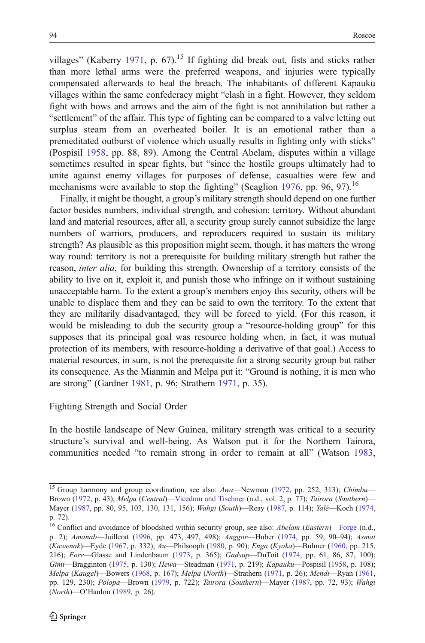villages" (Kaberry [1971](#page-43-0), p.  $67$ ).<sup>15</sup> If fighting did break out, fists and sticks rather than more lethal arms were the preferred weapons, and injuries were typically compensated afterwards to heal the breach. The inhabitants of different Kapauku villages within the same confederacy might "clash in a fight. However, they seldom fight with bows and arrows and the aim of the fight is not annihilation but rather a "settlement" of the affair. This type of fighting can be compared to a valve letting out surplus steam from an overheated boiler. It is an emotional rather than a premeditated outburst of violence which usually results in fighting only with sticks" (Pospisil [1958](#page-45-0), pp. 88, 89). Among the Central Abelam, disputes within a village sometimes resulted in spear fights, but "since the hostile groups ultimately had to unite against enemy villages for purposes of defense, casualties were few and mechanisms were available to stop the fighting" (Scaglion [1976,](#page-46-0) pp. 96, 97).<sup>16</sup>

Finally, it might be thought, a group's military strength should depend on one further factor besides numbers, individual strength, and cohesion: territory. Without abundant land and material resources, after all, a security group surely cannot subsidize the large numbers of warriors, producers, and reproducers required to sustain its military strength? As plausible as this proposition might seem, though, it has matters the wrong way round: territory is not a prerequisite for building military strength but rather the reason, inter alia, for building this strength. Ownership of a territory consists of the ability to live on it, exploit it, and punish those who infringe on it without sustaining unacceptable harm. To the extent a group's members enjoy this security, others will be unable to displace them and they can be said to own the territory. To the extent that they are militarily disadvantaged, they will be forced to yield. (For this reason, it would be misleading to dub the security group a "resource-holding group" for this supposes that its principal goal was resource holding when, in fact, it was mutual protection of its members, with resource-holding a derivative of that goal.) Access to material resources, in sum, is not the prerequisite for a strong security group but rather its consequence. As the Mianmin and Melpa put it: "Ground is nothing, it is men who are strong" (Gardner [1981](#page-42-0), p. 96; Strathern [1971](#page-46-0), p. 35).

## Fighting Strength and Social Order

In the hostile landscape of New Guinea, military strength was critical to a security structure's survival and well-being. As Watson put it for the Northern Tairora, communities needed "to remain strong in order to remain at all" (Watson [1983,](#page-47-0)

<sup>&</sup>lt;sup>15</sup> Group harmony and group coordination, see also: Awa—Newman ([1972](#page-44-0), pp. 252, 313); Chimbu— Brown ([1972](#page-40-0), p. 43); *Melpa (Central)*—[Vicedom and Tischner](#page-47-0) (n.d., vol. 2, p. 77); *Tairora (Southern*)— Mayer ([1987,](#page-44-0) pp. 80, 95, 103, 130, 131, 156); Wahgi (South)—Reay ([1987,](#page-45-0) p. 114); Yalé—Koch [\(1974](#page-43-0), p. 72).

<sup>&</sup>lt;sup>16</sup> Conflict and avoidance of bloodshed within security group, see also: Abelam (Eastern)—[Forge](#page-41-0) (n.d., p. 2); Amanab—Juillerat ([1996,](#page-43-0) pp. 473, 497, 498); Anggor—Huber [\(1974](#page-42-0), pp. 59, 90–94); Asmat (Kawenak)—Eyde ([1967,](#page-41-0) p. 332); Au—Philsooph [\(1980](#page-45-0), p. 90); Enga (Kyaka)—Bulmer ([1960,](#page-40-0) pp. 215, 216); Fore—Glasse and Lindenbaum [\(1973](#page-42-0), p. 365); Gadsup—DuToit ([1974,](#page-41-0) pp. 61, 86, 87, 100); Gimi-Bragginton [\(1975](#page-40-0), p. 130); Hewa-Steadman ([1971,](#page-46-0) p. 219); Kapauku-Pospisil [\(1958](#page-45-0), p. 108); Melpa (Kaugel)—Bowers [\(1968](#page-40-0), p. 167); Melpa (North)—Strathern [\(1971,](#page-46-0) p. 26); Mendi—Ryan [\(1961](#page-46-0), pp. 129, 230); Polopa—Brown ([1979](#page-40-0), p. 722); Tairora (Southern)—Mayer ([1987,](#page-44-0) pp. 72, 93); Wahgi (North)—O'Hanlon [\(1989](#page-44-0), p. 26).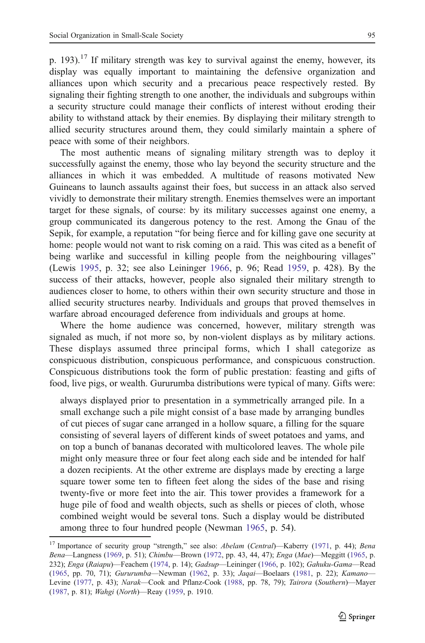p. 193).<sup>17</sup> If military strength was key to survival against the enemy, however, its display was equally important to maintaining the defensive organization and alliances upon which security and a precarious peace respectively rested. By signaling their fighting strength to one another, the individuals and subgroups within a security structure could manage their conflicts of interest without eroding their ability to withstand attack by their enemies. By displaying their military strength to allied security structures around them, they could similarly maintain a sphere of peace with some of their neighbors.

The most authentic means of signaling military strength was to deploy it successfully against the enemy, those who lay beyond the security structure and the alliances in which it was embedded. A multitude of reasons motivated New Guineans to launch assaults against their foes, but success in an attack also served vividly to demonstrate their military strength. Enemies themselves were an important target for these signals, of course: by its military successes against one enemy, a group communicated its dangerous potency to the rest. Among the Gnau of the Sepik, for example, a reputation "for being fierce and for killing gave one security at home: people would not want to risk coming on a raid. This was cited as a benefit of being warlike and successful in killing people from the neighbouring villages" (Lewis [1995,](#page-44-0) p. 32; see also Leininger [1966](#page-44-0), p. 96; Read [1959](#page-45-0), p. 428). By the success of their attacks, however, people also signaled their military strength to audiences closer to home, to others within their own security structure and those in allied security structures nearby. Individuals and groups that proved themselves in warfare abroad encouraged deference from individuals and groups at home.

Where the home audience was concerned, however, military strength was signaled as much, if not more so, by non-violent displays as by military actions. These displays assumed three principal forms, which I shall categorize as conspicuous distribution, conspicuous performance, and conspicuous construction. Conspicuous distributions took the form of public prestation: feasting and gifts of food, live pigs, or wealth. Gururumba distributions were typical of many. Gifts were:

always displayed prior to presentation in a symmetrically arranged pile. In a small exchange such a pile might consist of a base made by arranging bundles of cut pieces of sugar cane arranged in a hollow square, a filling for the square consisting of several layers of different kinds of sweet potatoes and yams, and on top a bunch of bananas decorated with multicolored leaves. The whole pile might only measure three or four feet along each side and be intended for half a dozen recipients. At the other extreme are displays made by erecting a large square tower some ten to fifteen feet along the sides of the base and rising twenty-five or more feet into the air. This tower provides a framework for a huge pile of food and wealth objects, such as shells or pieces of cloth, whose combined weight would be several tons. Such a display would be distributed among three to four hundred people (Newman [1965](#page-44-0), p. 54).

<sup>&</sup>lt;sup>17</sup> Importance of security group "strength," see also: *Abelam (Central)*—Kaberry [\(1971](#page-43-0), p. 44); Bena Bena—Langness [\(1969,](#page-43-0) p. 51); Chimbu—Brown [\(1972](#page-40-0), pp. 43, 44, 47); Enga (Mae)—Meggitt [\(1965,](#page-44-0) p. 232); Enga (Raiapu)—Feachem [\(1974](#page-41-0), p. 14); Gadsup—Leininger ([1966,](#page-44-0) p. 102); Gahuku-Gama—Read ([1965,](#page-45-0) pp. 70, 71); Gururumba—Newman ([1962,](#page-44-0) p. 33); Jaqai—Boelaars ([1981,](#page-40-0) p. 22); Kamano— Levine ([1977,](#page-44-0) p. 43); Narak—Cook and Pflanz-Cook ([1988,](#page-41-0) pp. 78, 79); Tairora (Southern)—Mayer ([1987,](#page-44-0) p. 81); Wahgi (North)—Reay ([1959](#page-45-0), p. 1910.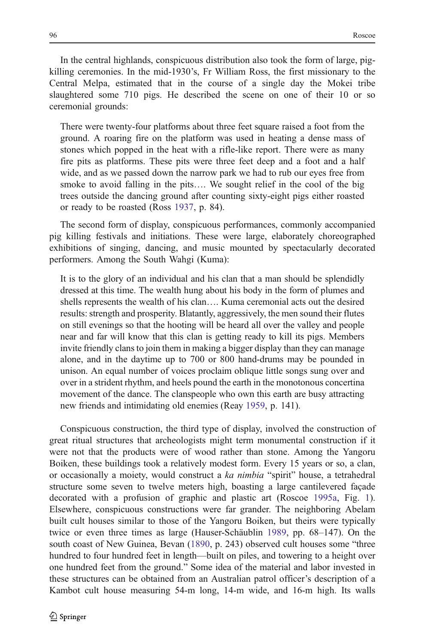In the central highlands, conspicuous distribution also took the form of large, pigkilling ceremonies. In the mid-1930's, Fr William Ross, the first missionary to the Central Melpa, estimated that in the course of a single day the Mokei tribe slaughtered some 710 pigs. He described the scene on one of their 10 or so ceremonial grounds:

There were twenty-four platforms about three feet square raised a foot from the ground. A roaring fire on the platform was used in heating a dense mass of stones which popped in the heat with a rifle-like report. There were as many fire pits as platforms. These pits were three feet deep and a foot and a half wide, and as we passed down the narrow park we had to rub our eyes free from smoke to avoid falling in the pits…. We sought relief in the cool of the big trees outside the dancing ground after counting sixty-eight pigs either roasted or ready to be roasted (Ross [1937](#page-46-0), p. 84).

The second form of display, conspicuous performances, commonly accompanied pig killing festivals and initiations. These were large, elaborately choreographed exhibitions of singing, dancing, and music mounted by spectacularly decorated performers. Among the South Wahgi (Kuma):

It is to the glory of an individual and his clan that a man should be splendidly dressed at this time. The wealth hung about his body in the form of plumes and shells represents the wealth of his clan…. Kuma ceremonial acts out the desired results: strength and prosperity. Blatantly, aggressively, the men sound their flutes on still evenings so that the hooting will be heard all over the valley and people near and far will know that this clan is getting ready to kill its pigs. Members invite friendly clans to join them in making a bigger display than they can manage alone, and in the daytime up to 700 or 800 hand-drums may be pounded in unison. An equal number of voices proclaim oblique little songs sung over and over in a strident rhythm, and heels pound the earth in the monotonous concertina movement of the dance. The clanspeople who own this earth are busy attracting new friends and intimidating old enemies (Reay [1959](#page-45-0), p. 141).

Conspicuous construction, the third type of display, involved the construction of great ritual structures that archeologists might term monumental construction if it were not that the products were of wood rather than stone. Among the Yangoru Boiken, these buildings took a relatively modest form. Every 15 years or so, a clan, or occasionally a moiety, would construct a ka nimbia "spirit" house, a tetrahedral structure some seven to twelve meters high, boasting a large cantilevered façade decorated with a profusion of graphic and plastic art (Roscoe [1995a,](#page-45-0) Fig. [1\)](#page-4-0). Elsewhere, conspicuous constructions were far grander. The neighboring Abelam built cult houses similar to those of the Yangoru Boiken, but theirs were typically twice or even three times as large (Hauser-Schäublin [1989](#page-42-0), pp. 68–147). On the south coast of New Guinea, Bevan [\(1890](#page-40-0), p. 243) observed cult houses some "three hundred to four hundred feet in length—built on piles, and towering to a height over one hundred feet from the ground." Some idea of the material and labor invested in these structures can be obtained from an Australian patrol officer's description of a Kambot cult house measuring 54-m long, 14-m wide, and 16-m high. Its walls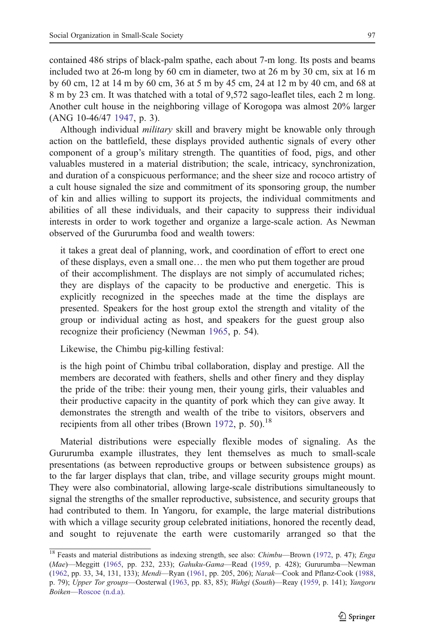contained 486 strips of black-palm spathe, each about 7-m long. Its posts and beams included two at 26-m long by 60 cm in diameter, two at 26 m by 30 cm, six at 16 m by 60 cm, 12 at 14 m by 60 cm, 36 at 5 m by 45 cm, 24 at 12 m by 40 cm, and 68 at 8 m by 23 cm. It was thatched with a total of 9,572 sago-leaflet tiles, each 2 m long. Another cult house in the neighboring village of Korogopa was almost 20% larger (ANG 10-46/47 [1947](#page-39-0), p. 3).

Although individual military skill and bravery might be knowable only through action on the battlefield, these displays provided authentic signals of every other component of a group's military strength. The quantities of food, pigs, and other valuables mustered in a material distribution; the scale, intricacy, synchronization, and duration of a conspicuous performance; and the sheer size and rococo artistry of a cult house signaled the size and commitment of its sponsoring group, the number of kin and allies willing to support its projects, the individual commitments and abilities of all these individuals, and their capacity to suppress their individual interests in order to work together and organize a large-scale action. As Newman observed of the Gururumba food and wealth towers:

it takes a great deal of planning, work, and coordination of effort to erect one of these displays, even a small one… the men who put them together are proud of their accomplishment. The displays are not simply of accumulated riches; they are displays of the capacity to be productive and energetic. This is explicitly recognized in the speeches made at the time the displays are presented. Speakers for the host group extol the strength and vitality of the group or individual acting as host, and speakers for the guest group also recognize their proficiency (Newman [1965,](#page-44-0) p. 54).

Likewise, the Chimbu pig-killing festival:

is the high point of Chimbu tribal collaboration, display and prestige. All the members are decorated with feathers, shells and other finery and they display the pride of the tribe: their young men, their young girls, their valuables and their productive capacity in the quantity of pork which they can give away. It demonstrates the strength and wealth of the tribe to visitors, observers and recipients from all other tribes (Brown [1972,](#page-40-0) p. 50).<sup>18</sup>

Material distributions were especially flexible modes of signaling. As the Gururumba example illustrates, they lent themselves as much to small-scale presentations (as between reproductive groups or between subsistence groups) as to the far larger displays that clan, tribe, and village security groups might mount. They were also combinatorial, allowing large-scale distributions simultaneously to signal the strengths of the smaller reproductive, subsistence, and security groups that had contributed to them. In Yangoru, for example, the large material distributions with which a village security group celebrated initiations, honored the recently dead, and sought to rejuvenate the earth were customarily arranged so that the

<sup>&</sup>lt;sup>18</sup> Feasts and material distributions as indexing strength, see also: *Chimbu*—Brown ([1972,](#page-40-0) p. 47); *Enga* (Mae)—Meggitt ([1965,](#page-44-0) pp. 232, 233); Gahuku-Gama—Read ([1959,](#page-45-0) p. 428); Gururumba—Newman ([1962,](#page-44-0) pp. 33, 34, 131, 133); Mendi—Ryan [\(1961](#page-46-0), pp. 205, 206); Narak—Cook and Pflanz-Cook [\(1988](#page-41-0), p. 79); Upper Tor groups—Oosterwal ([1963,](#page-44-0) pp. 83, 85); Wahgi (South)—Reay ([1959](#page-45-0), p. 141); Yangoru Boiken—[Roscoe \(n.d.a\)](#page-45-0).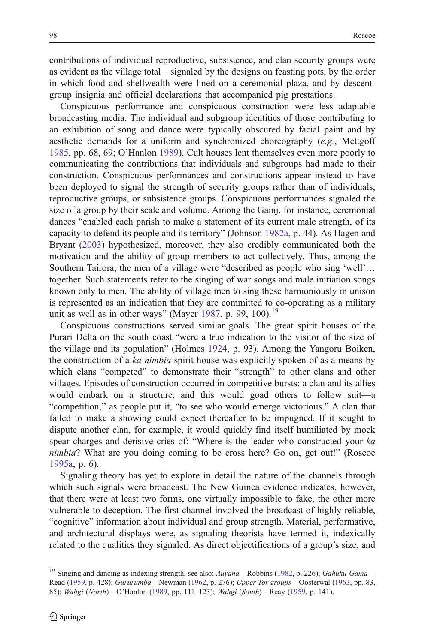contributions of individual reproductive, subsistence, and clan security groups were as evident as the village total—signaled by the designs on feasting pots, by the order in which food and shellwealth were lined on a ceremonial plaza, and by descentgroup insignia and official declarations that accompanied pig prestations.

Conspicuous performance and conspicuous construction were less adaptable broadcasting media. The individual and subgroup identities of those contributing to an exhibition of song and dance were typically obscured by facial paint and by aesthetic demands for a uniform and synchronized choreography (e.g., Mettgoff [1985,](#page-44-0) pp. 68, 69; O'Hanlon [1989\)](#page-44-0). Cult houses lent themselves even more poorly to communicating the contributions that individuals and subgroups had made to their construction. Conspicuous performances and constructions appear instead to have been deployed to signal the strength of security groups rather than of individuals, reproductive groups, or subsistence groups. Conspicuous performances signaled the size of a group by their scale and volume. Among the Gainj, for instance, ceremonial dances "enabled each parish to make a statement of its current male strength, of its capacity to defend its people and its territory" (Johnson [1982a](#page-43-0), p. 44). As Hagen and Bryant [\(2003](#page-42-0)) hypothesized, moreover, they also credibly communicated both the motivation and the ability of group members to act collectively. Thus, among the Southern Tairora, the men of a village were "described as people who sing 'well'… together. Such statements refer to the singing of war songs and male initiation songs known only to men. The ability of village men to sing these harmoniously in unison is represented as an indication that they are committed to co-operating as a military unit as well as in other ways" (Mayer [1987,](#page-44-0) p. 99, 100).<sup>19</sup>

Conspicuous constructions served similar goals. The great spirit houses of the Purari Delta on the south coast "were a true indication to the visitor of the size of the village and its population" (Holmes [1924,](#page-42-0) p. 93). Among the Yangoru Boiken, the construction of a ka nimbia spirit house was explicitly spoken of as a means by which clans "competed" to demonstrate their "strength" to other clans and other villages. Episodes of construction occurred in competitive bursts: a clan and its allies would embark on a structure, and this would goad others to follow suit—a "competition," as people put it, "to see who would emerge victorious." A clan that failed to make a showing could expect thereafter to be impugned. If it sought to dispute another clan, for example, it would quickly find itself humiliated by mock spear charges and derisive cries of: "Where is the leader who constructed your ka nimbia? What are you doing coming to be cross here? Go on, get out!" (Roscoe [1995a](#page-45-0), p. 6).

Signaling theory has yet to explore in detail the nature of the channels through which such signals were broadcast. The New Guinea evidence indicates, however, that there were at least two forms, one virtually impossible to fake, the other more vulnerable to deception. The first channel involved the broadcast of highly reliable, "cognitive" information about individual and group strength. Material, performative, and architectural displays were, as signaling theorists have termed it, indexically related to the qualities they signaled. As direct objectifications of a group's size, and

 $\frac{19}{19}$  Singing and dancing as indexing strength, see also: Auyana—Robbins ([1982,](#page-45-0) p. 226); Gahuku-Gama— Read ([1959,](#page-45-0) p. 428); Gururumba—Newman ([1962](#page-44-0), p. 276); Upper Tor groups—Oosterwal [\(1963](#page-44-0), pp. 83, 85); Wahgi (North)—O'Hanlon [\(1989](#page-44-0), pp. 111–123); Wahgi (South)—Reay [\(1959,](#page-45-0) p. 141).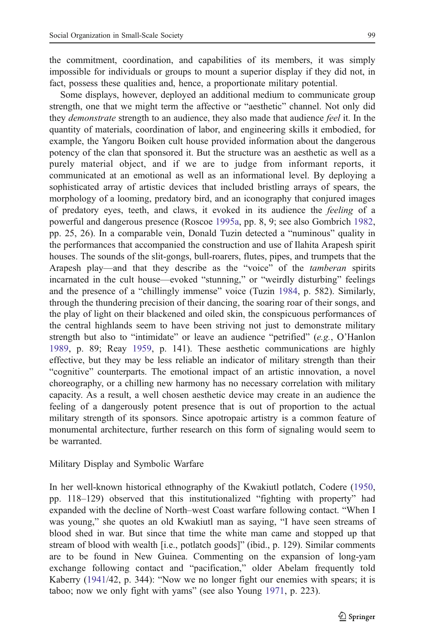the commitment, coordination, and capabilities of its members, it was simply impossible for individuals or groups to mount a superior display if they did not, in fact, possess these qualities and, hence, a proportionate military potential.

Some displays, however, deployed an additional medium to communicate group strength, one that we might term the affective or "aesthetic" channel. Not only did they *demonstrate* strength to an audience, they also made that audience *feel* it. In the quantity of materials, coordination of labor, and engineering skills it embodied, for example, the Yangoru Boiken cult house provided information about the dangerous potency of the clan that sponsored it. But the structure was an aesthetic as well as a purely material object, and if we are to judge from informant reports, it communicated at an emotional as well as an informational level. By deploying a sophisticated array of artistic devices that included bristling arrays of spears, the morphology of a looming, predatory bird, and an iconography that conjured images of predatory eyes, teeth, and claws, it evoked in its audience the feeling of a powerful and dangerous presence (Roscoe [1995a](#page-45-0), pp. 8, 9; see also Gombrich [1982,](#page-42-0) pp. 25, 26). In a comparable vein, Donald Tuzin detected a "numinous" quality in the performances that accompanied the construction and use of Ilahita Arapesh spirit houses. The sounds of the slit-gongs, bull-roarers, flutes, pipes, and trumpets that the Arapesh play—and that they describe as the "voice" of the tamberan spirits incarnated in the cult house—evoked "stunning," or "weirdly disturbing" feelings and the presence of a "chillingly immense" voice (Tuzin [1984,](#page-47-0) p. 582). Similarly, through the thundering precision of their dancing, the soaring roar of their songs, and the play of light on their blackened and oiled skin, the conspicuous performances of the central highlands seem to have been striving not just to demonstrate military strength but also to "intimidate" or leave an audience "petrified" (e.g., O'Hanlon [1989,](#page-44-0) p. 89; Reay [1959,](#page-45-0) p. 141). These aesthetic communications are highly effective, but they may be less reliable an indicator of military strength than their "cognitive" counterparts. The emotional impact of an artistic innovation, a novel choreography, or a chilling new harmony has no necessary correlation with military capacity. As a result, a well chosen aesthetic device may create in an audience the feeling of a dangerously potent presence that is out of proportion to the actual military strength of its sponsors. Since apotropaic artistry is a common feature of monumental architecture, further research on this form of signaling would seem to be warranted.

#### Military Display and Symbolic Warfare

In her well-known historical ethnography of the Kwakiutl potlatch, Codere ([1950,](#page-41-0) pp. 118–129) observed that this institutionalized "fighting with property" had expanded with the decline of North–west Coast warfare following contact. "When I was young," she quotes an old Kwakiutl man as saying, "I have seen streams of blood shed in war. But since that time the white man came and stopped up that stream of blood with wealth [i.e., potlatch goods]" (ibid., p. 129). Similar comments are to be found in New Guinea. Commenting on the expansion of long-yam exchange following contact and "pacification," older Abelam frequently told Kaberry ([1941/](#page-43-0)42, p. 344): "Now we no longer fight our enemies with spears; it is taboo; now we only fight with yams" (see also Young [1971](#page-47-0), p. 223).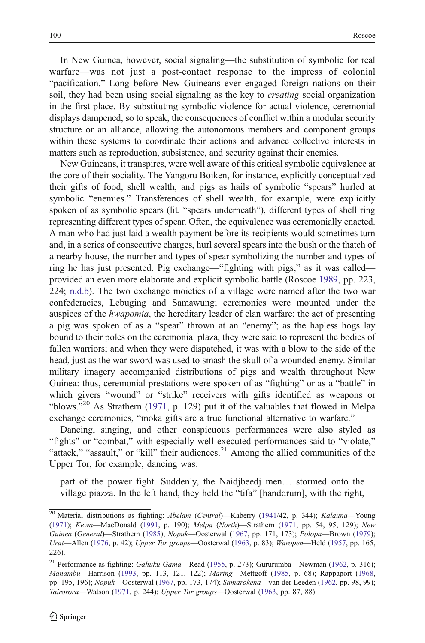In New Guinea, however, social signaling—the substitution of symbolic for real warfare—was not just a post-contact response to the impress of colonial "pacification." Long before New Guineans ever engaged foreign nations on their soil, they had been using social signaling as the key to *creating* social organization in the first place. By substituting symbolic violence for actual violence, ceremonial displays dampened, so to speak, the consequences of conflict within a modular security structure or an alliance, allowing the autonomous members and component groups within these systems to coordinate their actions and advance collective interests in matters such as reproduction, subsistence, and security against their enemies.

New Guineans, it transpires, were well aware of this critical symbolic equivalence at the core of their sociality. The Yangoru Boiken, for instance, explicitly conceptualized their gifts of food, shell wealth, and pigs as hails of symbolic "spears" hurled at symbolic "enemies." Transferences of shell wealth, for example, were explicitly spoken of as symbolic spears (lit. "spears underneath"), different types of shell ring representing different types of spear. Often, the equivalence was ceremonially enacted. A man who had just laid a wealth payment before its recipients would sometimes turn and, in a series of consecutive charges, hurl several spears into the bush or the thatch of a nearby house, the number and types of spear symbolizing the number and types of ring he has just presented. Pig exchange—"fighting with pigs," as it was called provided an even more elaborate and explicit symbolic battle (Roscoe [1989,](#page-45-0) pp. 223, 224; [n.d.b\)](#page-45-0). The two exchange moieties of a village were named after the two war confederacies, Lebuging and Samawung; ceremonies were mounted under the auspices of the hwapomia, the hereditary leader of clan warfare; the act of presenting a pig was spoken of as a "spear" thrown at an "enemy"; as the hapless hogs lay bound to their poles on the ceremonial plaza, they were said to represent the bodies of fallen warriors; and when they were dispatched, it was with a blow to the side of the head, just as the war sword was used to smash the skull of a wounded enemy. Similar military imagery accompanied distributions of pigs and wealth throughout New Guinea: thus, ceremonial prestations were spoken of as "fighting" or as a "battle" in which givers "wound" or "strike" receivers with gifts identified as weapons or "blows."<sup>20</sup> As Strathern [\(1971,](#page-46-0) p. 129) put it of the valuables that flowed in Melpa exchange ceremonies, "moka gifts are a true functional alternative to warfare."

Dancing, singing, and other conspicuous performances were also styled as "fights" or "combat," with especially well executed performances said to "violate," "attack," "assault," or "kill" their audiences.<sup>21</sup> Among the allied communities of the Upper Tor, for example, dancing was:

part of the power fight. Suddenly, the Naidjbeedj men… stormed onto the village piazza. In the left hand, they held the "tifa" [handdrum], with the right,

<sup>&</sup>lt;sup>20</sup> Material distributions as fighting: Abelam (Central)—Kaberry ([1941](#page-43-0)/42, p. 344); Kalauna—Young ([1971\)](#page-47-0); Kewa—MacDonald ([1991,](#page-44-0) p. 190); Melpa (North)—Strathern ([1971](#page-46-0), pp. 54, 95, 129); New Guinea (General)—Strathern [\(1985](#page-46-0)); Nopuk—Oosterwal [\(1967,](#page-44-0) pp. 171, 173); Polopa—Brown ([1979\)](#page-40-0); Urat—Allen [\(1976](#page-39-0), p. 42); Upper Tor groups—Oosterwal [\(1963](#page-44-0), p. 83); Waropen—Held ([1957,](#page-42-0) pp. 165, 226).

<sup>&</sup>lt;sup>21</sup> Performance as fighting: Gahuku-Gama—Read ([1955,](#page-45-0) p. 273); Gururumba—Newman ([1962,](#page-44-0) p. 316); Manambu—Harrison [\(1993,](#page-42-0) pp. 113, 121, 122); Maring—Mettgoff ([1985,](#page-44-0) p. 68); Rappaport [\(1968](#page-45-0), pp. 195, 196); Nopuk—Oosterwal ([1967](#page-44-0), pp. 173, 174); Samarokena—van der Leeden [\(1962](#page-47-0), pp. 98, 99); Tairorora—Watson [\(1971](#page-47-0), p. 244); Upper Tor groups—Oosterwal ([1963,](#page-44-0) pp. 87, 88).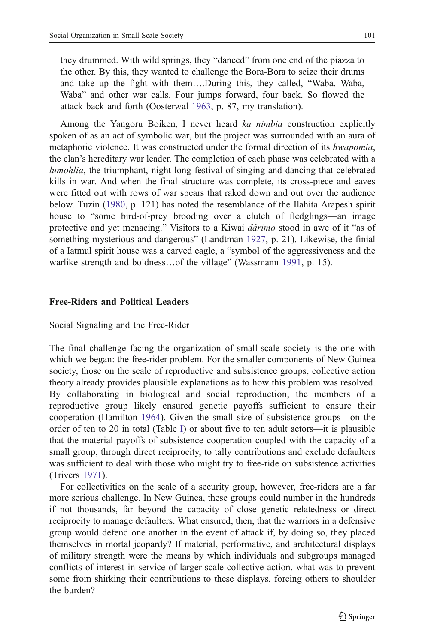they drummed. With wild springs, they "danced" from one end of the piazza to the other. By this, they wanted to challenge the Bora-Bora to seize their drums and take up the fight with them….During this, they called, "Waba, Waba, Waba" and other war calls. Four jumps forward, four back. So flowed the attack back and forth (Oosterwal [1963](#page-44-0), p. 87, my translation).

Among the Yangoru Boiken, I never heard ka nimbia construction explicitly spoken of as an act of symbolic war, but the project was surrounded with an aura of metaphoric violence. It was constructed under the formal direction of its *hwapomia*, the clan's hereditary war leader. The completion of each phase was celebrated with a lumohlia, the triumphant, night-long festival of singing and dancing that celebrated kills in war. And when the final structure was complete, its cross-piece and eaves were fitted out with rows of war spears that raked down and out over the audience below. Tuzin ([1980,](#page-47-0) p. 121) has noted the resemblance of the Ilahita Arapesh spirit house to "some bird-of-prey brooding over a clutch of fledglings—an image protective and yet menacing." Visitors to a Kiwai dárimo stood in awe of it "as of something mysterious and dangerous" (Landtman [1927,](#page-43-0) p. 21). Likewise, the finial of a Iatmul spirit house was a carved eagle, a "symbol of the aggressiveness and the warlike strength and boldness...of the village" (Wassmann [1991,](#page-47-0) p. 15).

# Free-Riders and Political Leaders

Social Signaling and the Free-Rider

The final challenge facing the organization of small-scale society is the one with which we began: the free-rider problem. For the smaller components of New Guinea society, those on the scale of reproductive and subsistence groups, collective action theory already provides plausible explanations as to how this problem was resolved. By collaborating in biological and social reproduction, the members of a reproductive group likely ensured genetic payoffs sufficient to ensure their cooperation (Hamilton [1964](#page-42-0)). Given the small size of subsistence groups—on the order of ten to 20 in total (Table [I](#page-10-0)) or about five to ten adult actors—it is plausible that the material payoffs of subsistence cooperation coupled with the capacity of a small group, through direct reciprocity, to tally contributions and exclude defaulters was sufficient to deal with those who might try to free-ride on subsistence activities (Trivers [1971\)](#page-47-0).

For collectivities on the scale of a security group, however, free-riders are a far more serious challenge. In New Guinea, these groups could number in the hundreds if not thousands, far beyond the capacity of close genetic relatedness or direct reciprocity to manage defaulters. What ensured, then, that the warriors in a defensive group would defend one another in the event of attack if, by doing so, they placed themselves in mortal jeopardy? If material, performative, and architectural displays of military strength were the means by which individuals and subgroups managed conflicts of interest in service of larger-scale collective action, what was to prevent some from shirking their contributions to these displays, forcing others to shoulder the burden?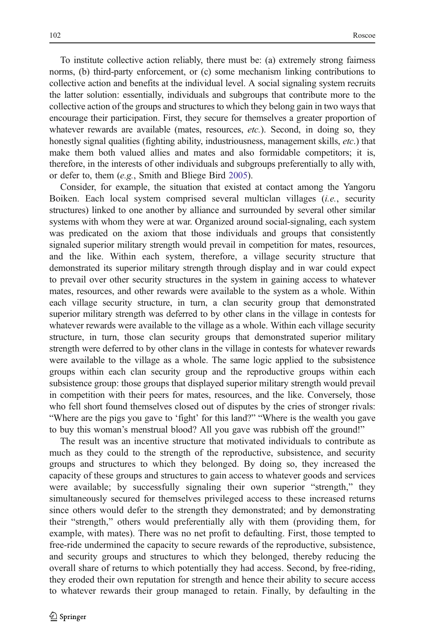To institute collective action reliably, there must be: (a) extremely strong fairness norms, (b) third-party enforcement, or (c) some mechanism linking contributions to collective action and benefits at the individual level. A social signaling system recruits the latter solution: essentially, individuals and subgroups that contribute more to the collective action of the groups and structures to which they belong gain in two ways that encourage their participation. First, they secure for themselves a greater proportion of whatever rewards are available (mates, resources, etc.). Second, in doing so, they honestly signal qualities (fighting ability, industriousness, management skills, *etc.*) that make them both valued allies and mates and also formidable competitors; it is, therefore, in the interests of other individuals and subgroups preferentially to ally with, or defer to, them (e.g., Smith and Bliege Bird [2005](#page-46-0)).

Consider, for example, the situation that existed at contact among the Yangoru Boiken. Each local system comprised several multiclan villages (i.e., security structures) linked to one another by alliance and surrounded by several other similar systems with whom they were at war. Organized around social-signaling, each system was predicated on the axiom that those individuals and groups that consistently signaled superior military strength would prevail in competition for mates, resources, and the like. Within each system, therefore, a village security structure that demonstrated its superior military strength through display and in war could expect to prevail over other security structures in the system in gaining access to whatever mates, resources, and other rewards were available to the system as a whole. Within each village security structure, in turn, a clan security group that demonstrated superior military strength was deferred to by other clans in the village in contests for whatever rewards were available to the village as a whole. Within each village security structure, in turn, those clan security groups that demonstrated superior military strength were deferred to by other clans in the village in contests for whatever rewards were available to the village as a whole. The same logic applied to the subsistence groups within each clan security group and the reproductive groups within each subsistence group: those groups that displayed superior military strength would prevail in competition with their peers for mates, resources, and the like. Conversely, those who fell short found themselves closed out of disputes by the cries of stronger rivals: "Where are the pigs you gave to 'fight' for this land?" "Where is the wealth you gave to buy this woman's menstrual blood? All you gave was rubbish off the ground!"

The result was an incentive structure that motivated individuals to contribute as much as they could to the strength of the reproductive, subsistence, and security groups and structures to which they belonged. By doing so, they increased the capacity of these groups and structures to gain access to whatever goods and services were available; by successfully signaling their own superior "strength," they simultaneously secured for themselves privileged access to these increased returns since others would defer to the strength they demonstrated; and by demonstrating their "strength," others would preferentially ally with them (providing them, for example, with mates). There was no net profit to defaulting. First, those tempted to free-ride undermined the capacity to secure rewards of the reproductive, subsistence, and security groups and structures to which they belonged, thereby reducing the overall share of returns to which potentially they had access. Second, by free-riding, they eroded their own reputation for strength and hence their ability to secure access to whatever rewards their group managed to retain. Finally, by defaulting in the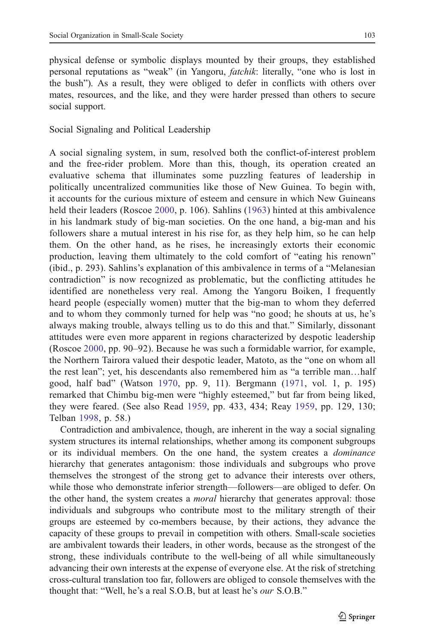physical defense or symbolic displays mounted by their groups, they established personal reputations as "weak" (in Yangoru, fatchik: literally, "one who is lost in the bush"). As a result, they were obliged to defer in conflicts with others over mates, resources, and the like, and they were harder pressed than others to secure social support.

#### Social Signaling and Political Leadership

A social signaling system, in sum, resolved both the conflict-of-interest problem and the free-rider problem. More than this, though, its operation created an evaluative schema that illuminates some puzzling features of leadership in politically uncentralized communities like those of New Guinea. To begin with, it accounts for the curious mixture of esteem and censure in which New Guineans held their leaders (Roscoe [2000,](#page-45-0) p. 106). Sahlins ([1963](#page-46-0)) hinted at this ambivalence in his landmark study of big-man societies. On the one hand, a big-man and his followers share a mutual interest in his rise for, as they help him, so he can help them. On the other hand, as he rises, he increasingly extorts their economic production, leaving them ultimately to the cold comfort of "eating his renown" (ibid., p. 293). Sahlins's explanation of this ambivalence in terms of a "Melanesian contradiction" is now recognized as problematic, but the conflicting attitudes he identified are nonetheless very real. Among the Yangoru Boiken, I frequently heard people (especially women) mutter that the big-man to whom they deferred and to whom they commonly turned for help was "no good; he shouts at us, he's always making trouble, always telling us to do this and that." Similarly, dissonant attitudes were even more apparent in regions characterized by despotic leadership (Roscoe [2000](#page-45-0), pp. 90–92). Because he was such a formidable warrior, for example, the Northern Tairora valued their despotic leader, Matoto, as the "one on whom all the rest lean"; yet, his descendants also remembered him as "a terrible man…half good, half bad" (Watson [1970,](#page-47-0) pp. 9, 11). Bergmann ([1971,](#page-40-0) vol. 1, p. 195) remarked that Chimbu big-men were "highly esteemed," but far from being liked, they were feared. (See also Read [1959](#page-45-0), pp. 433, 434; Reay [1959,](#page-45-0) pp. 129, 130; Telban [1998](#page-47-0), p. 58.)

Contradiction and ambivalence, though, are inherent in the way a social signaling system structures its internal relationships, whether among its component subgroups or its individual members. On the one hand, the system creates a dominance hierarchy that generates antagonism: those individuals and subgroups who prove themselves the strongest of the strong get to advance their interests over others, while those who demonstrate inferior strength—followers—are obliged to defer. On the other hand, the system creates a *moral* hierarchy that generates approval: those individuals and subgroups who contribute most to the military strength of their groups are esteemed by co-members because, by their actions, they advance the capacity of these groups to prevail in competition with others. Small-scale societies are ambivalent towards their leaders, in other words, because as the strongest of the strong, these individuals contribute to the well-being of all while simultaneously advancing their own interests at the expense of everyone else. At the risk of stretching cross-cultural translation too far, followers are obliged to console themselves with the thought that: "Well, he's a real S.O.B, but at least he's our S.O.B."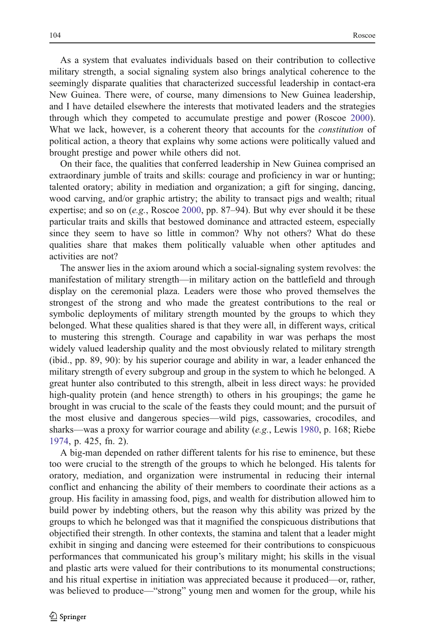As a system that evaluates individuals based on their contribution to collective military strength, a social signaling system also brings analytical coherence to the seemingly disparate qualities that characterized successful leadership in contact-era New Guinea. There were, of course, many dimensions to New Guinea leadership, and I have detailed elsewhere the interests that motivated leaders and the strategies through which they competed to accumulate prestige and power (Roscoe [2000\)](#page-45-0). What we lack, however, is a coherent theory that accounts for the *constitution* of political action, a theory that explains why some actions were politically valued and brought prestige and power while others did not.

On their face, the qualities that conferred leadership in New Guinea comprised an extraordinary jumble of traits and skills: courage and proficiency in war or hunting; talented oratory; ability in mediation and organization; a gift for singing, dancing, wood carving, and/or graphic artistry; the ability to transact pigs and wealth; ritual expertise; and so on  $(e.g., Roscoe 2000, pp. 87–94)$  $(e.g., Roscoe 2000, pp. 87–94)$  $(e.g., Roscoe 2000, pp. 87–94)$ . But why ever should it be these particular traits and skills that bestowed dominance and attracted esteem, especially since they seem to have so little in common? Why not others? What do these qualities share that makes them politically valuable when other aptitudes and activities are not?

The answer lies in the axiom around which a social-signaling system revolves: the manifestation of military strength—in military action on the battlefield and through display on the ceremonial plaza. Leaders were those who proved themselves the strongest of the strong and who made the greatest contributions to the real or symbolic deployments of military strength mounted by the groups to which they belonged. What these qualities shared is that they were all, in different ways, critical to mustering this strength. Courage and capability in war was perhaps the most widely valued leadership quality and the most obviously related to military strength (ibid., pp. 89, 90): by his superior courage and ability in war, a leader enhanced the military strength of every subgroup and group in the system to which he belonged. A great hunter also contributed to this strength, albeit in less direct ways: he provided high-quality protein (and hence strength) to others in his groupings; the game he brought in was crucial to the scale of the feasts they could mount; and the pursuit of the most elusive and dangerous species—wild pigs, cassowaries, crocodiles, and sharks—was a proxy for warrior courage and ability (e.g., Lewis [1980,](#page-44-0) p. 168; Riebe [1974,](#page-45-0) p. 425, fn. 2).

A big-man depended on rather different talents for his rise to eminence, but these too were crucial to the strength of the groups to which he belonged. His talents for oratory, mediation, and organization were instrumental in reducing their internal conflict and enhancing the ability of their members to coordinate their actions as a group. His facility in amassing food, pigs, and wealth for distribution allowed him to build power by indebting others, but the reason why this ability was prized by the groups to which he belonged was that it magnified the conspicuous distributions that objectified their strength. In other contexts, the stamina and talent that a leader might exhibit in singing and dancing were esteemed for their contributions to conspicuous performances that communicated his group's military might; his skills in the visual and plastic arts were valued for their contributions to its monumental constructions; and his ritual expertise in initiation was appreciated because it produced—or, rather, was believed to produce—"strong" young men and women for the group, while his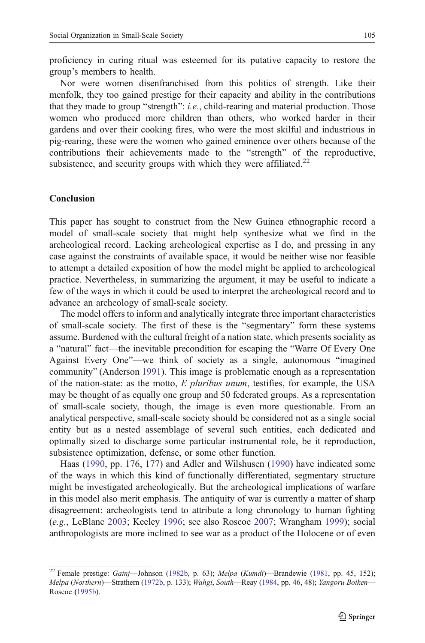proficiency in curing ritual was esteemed for its putative capacity to restore the group's members to health.

Nor were women disenfranchised from this politics of strength. Like their menfolk, they too gained prestige for their capacity and ability in the contributions that they made to group "strength": *i.e.*, child-rearing and material production. Those women who produced more children than others, who worked harder in their gardens and over their cooking fires, who were the most skilful and industrious in pig-rearing, these were the women who gained eminence over others because of the contributions their achievements made to the "strength" of the reproductive, subsistence, and security groups with which they were affiliated. $^{22}$ 

#### Conclusion

This paper has sought to construct from the New Guinea ethnographic record a model of small-scale society that might help synthesize what we find in the archeological record. Lacking archeological expertise as I do, and pressing in any case against the constraints of available space, it would be neither wise nor feasible to attempt a detailed exposition of how the model might be applied to archeological practice. Nevertheless, in summarizing the argument, it may be useful to indicate a few of the ways in which it could be used to interpret the archeological record and to advance an archeology of small-scale society.

The model offers to inform and analytically integrate three important characteristics of small-scale society. The first of these is the "segmentary" form these systems assume. Burdened with the cultural freight of a nation state, which presents sociality as a "natural" fact—the inevitable precondition for escaping the "Warre Of Every One Against Every One"—we think of society as a single, autonomous "imagined community" (Anderson [1991\)](#page-39-0). This image is problematic enough as a representation of the nation-state: as the motto,  $E$  pluribus unum, testifies, for example, the USA may be thought of as equally one group and 50 federated groups. As a representation of small-scale society, though, the image is even more questionable. From an analytical perspective, small-scale society should be considered not as a single social entity but as a nested assemblage of several such entities, each dedicated and optimally sized to discharge some particular instrumental role, be it reproduction, subsistence optimization, defense, or some other function.

Haas [\(1990](#page-42-0), pp. 176, 177) and Adler and Wilshusen ([1990\)](#page-39-0) have indicated some of the ways in which this kind of functionally differentiated, segmentary structure might be investigated archeologically. But the archeological implications of warfare in this model also merit emphasis. The antiquity of war is currently a matter of sharp disagreement: archeologists tend to attribute a long chronology to human fighting (e.g., LeBlanc [2003](#page-44-0); Keeley [1996;](#page-43-0) see also Roscoe [2007;](#page-46-0) Wrangham [1999](#page-47-0)); social anthropologists are more inclined to see war as a product of the Holocene or of even

 $\frac{22}{2}$  Female prestige: Gainj-Johnson [\(1982b](#page-43-0), p. 63); Melpa (Kumdi)-Brandewie [\(1981](#page-40-0), pp. 45, 152); Melpa (Northern)—Strathern ([1972b,](#page-46-0) p. 133); Wahgi, South—Reay ([1984,](#page-45-0) pp. 46, 48); Yangoru Boiken— Roscoe ([1995b](#page-45-0)).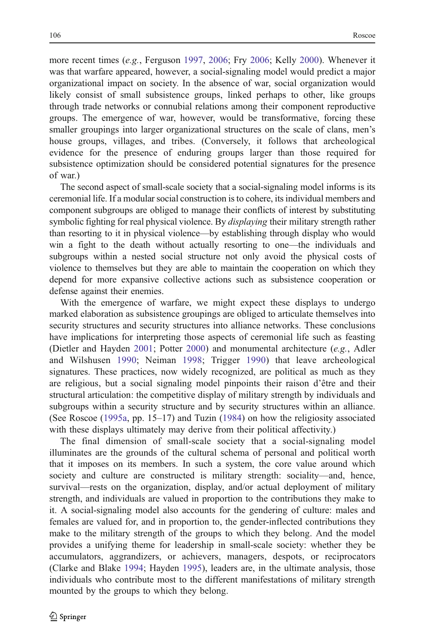more recent times (e.g., Ferguson [1997,](#page-41-0) [2006;](#page-41-0) Fry [2006;](#page-42-0) Kelly [2000\)](#page-43-0). Whenever it was that warfare appeared, however, a social-signaling model would predict a major organizational impact on society. In the absence of war, social organization would likely consist of small subsistence groups, linked perhaps to other, like groups through trade networks or connubial relations among their component reproductive groups. The emergence of war, however, would be transformative, forcing these smaller groupings into larger organizational structures on the scale of clans, men's house groups, villages, and tribes. (Conversely, it follows that archeological evidence for the presence of enduring groups larger than those required for subsistence optimization should be considered potential signatures for the presence of war.)

The second aspect of small-scale society that a social-signaling model informs is its ceremonial life. If a modular social construction is to cohere, its individual members and component subgroups are obliged to manage their conflicts of interest by substituting symbolic fighting for real physical violence. By *displaying* their military strength rather than resorting to it in physical violence—by establishing through display who would win a fight to the death without actually resorting to one—the individuals and subgroups within a nested social structure not only avoid the physical costs of violence to themselves but they are able to maintain the cooperation on which they depend for more expansive collective actions such as subsistence cooperation or defense against their enemies.

With the emergence of warfare, we might expect these displays to undergo marked elaboration as subsistence groupings are obliged to articulate themselves into security structures and security structures into alliance networks. These conclusions have implications for interpreting those aspects of ceremonial life such as feasting (Dietler and Hayden [2001;](#page-41-0) Potter [2000\)](#page-45-0) and monumental architecture (e.g., Adler and Wilshusen [1990](#page-39-0); Neiman [1998](#page-44-0); Trigger [1990](#page-47-0)) that leave archeological signatures. These practices, now widely recognized, are political as much as they are religious, but a social signaling model pinpoints their raison d'être and their structural articulation: the competitive display of military strength by individuals and subgroups within a security structure and by security structures within an alliance. (See Roscoe [\(1995a](#page-45-0), pp. 15–17) and Tuzin [\(1984](#page-47-0)) on how the religiosity associated with these displays ultimately may derive from their political affectivity.)

The final dimension of small-scale society that a social-signaling model illuminates are the grounds of the cultural schema of personal and political worth that it imposes on its members. In such a system, the core value around which society and culture are constructed is military strength: sociality—and, hence, survival—rests on the organization, display, and/or actual deployment of military strength, and individuals are valued in proportion to the contributions they make to it. A social-signaling model also accounts for the gendering of culture: males and females are valued for, and in proportion to, the gender-inflected contributions they make to the military strength of the groups to which they belong. And the model provides a unifying theme for leadership in small-scale society: whether they be accumulators, aggrandizers, or achievers, managers, despots, or reciprocators (Clarke and Blake [1994](#page-41-0); Hayden [1995\)](#page-42-0), leaders are, in the ultimate analysis, those individuals who contribute most to the different manifestations of military strength mounted by the groups to which they belong.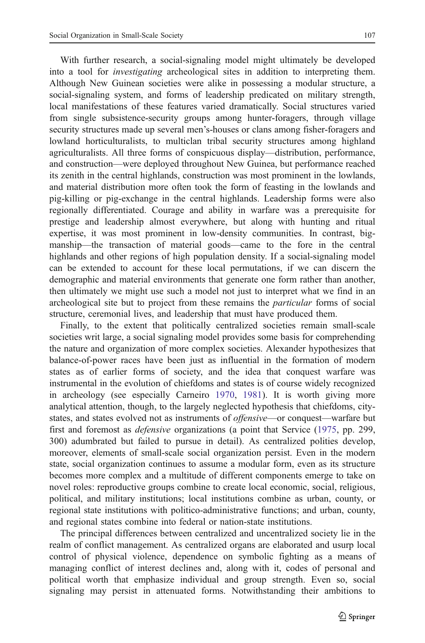With further research, a social-signaling model might ultimately be developed into a tool for investigating archeological sites in addition to interpreting them. Although New Guinean societies were alike in possessing a modular structure, a social-signaling system, and forms of leadership predicated on military strength, local manifestations of these features varied dramatically. Social structures varied from single subsistence-security groups among hunter-foragers, through village security structures made up several men's-houses or clans among fisher-foragers and lowland horticulturalists, to multiclan tribal security structures among highland agriculturalists. All three forms of conspicuous display—distribution, performance, and construction—were deployed throughout New Guinea, but performance reached its zenith in the central highlands, construction was most prominent in the lowlands, and material distribution more often took the form of feasting in the lowlands and pig-killing or pig-exchange in the central highlands. Leadership forms were also regionally differentiated. Courage and ability in warfare was a prerequisite for prestige and leadership almost everywhere, but along with hunting and ritual expertise, it was most prominent in low-density communities. In contrast, bigmanship—the transaction of material goods—came to the fore in the central highlands and other regions of high population density. If a social-signaling model can be extended to account for these local permutations, if we can discern the demographic and material environments that generate one form rather than another, then ultimately we might use such a model not just to interpret what we find in an archeological site but to project from these remains the particular forms of social structure, ceremonial lives, and leadership that must have produced them.

Finally, to the extent that politically centralized societies remain small-scale societies writ large, a social signaling model provides some basis for comprehending the nature and organization of more complex societies. Alexander hypothesizes that balance-of-power races have been just as influential in the formation of modern states as of earlier forms of society, and the idea that conquest warfare was instrumental in the evolution of chiefdoms and states is of course widely recognized in archeology (see especially Carneiro [1970,](#page-41-0) [1981](#page-41-0)). It is worth giving more analytical attention, though, to the largely neglected hypothesis that chiefdoms, citystates, and states evolved not as instruments of offensive—or conquest—warfare but first and foremost as defensive organizations (a point that Service [\(1975](#page-46-0), pp. 299, 300) adumbrated but failed to pursue in detail). As centralized polities develop, moreover, elements of small-scale social organization persist. Even in the modern state, social organization continues to assume a modular form, even as its structure becomes more complex and a multitude of different components emerge to take on novel roles: reproductive groups combine to create local economic, social, religious, political, and military institutions; local institutions combine as urban, county, or regional state institutions with politico-administrative functions; and urban, county, and regional states combine into federal or nation-state institutions.

The principal differences between centralized and uncentralized society lie in the realm of conflict management. As centralized organs are elaborated and usurp local control of physical violence, dependence on symbolic fighting as a means of managing conflict of interest declines and, along with it, codes of personal and political worth that emphasize individual and group strength. Even so, social signaling may persist in attenuated forms. Notwithstanding their ambitions to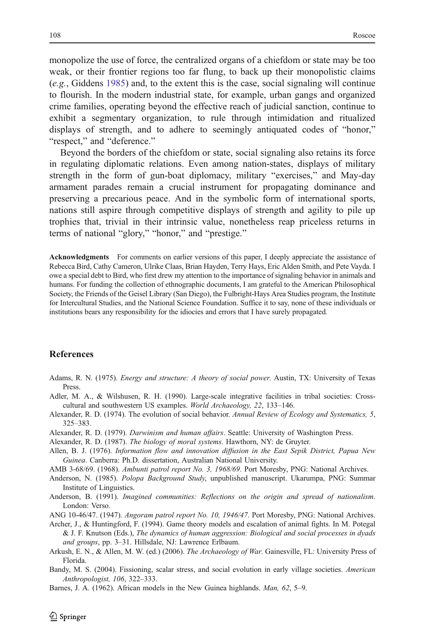<span id="page-39-0"></span>monopolize the use of force, the centralized organs of a chiefdom or state may be too weak, or their frontier regions too far flung, to back up their monopolistic claims (e.g., Giddens [1985\)](#page-42-0) and, to the extent this is the case, social signaling will continue to flourish. In the modern industrial state, for example, urban gangs and organized crime families, operating beyond the effective reach of judicial sanction, continue to exhibit a segmentary organization, to rule through intimidation and ritualized displays of strength, and to adhere to seemingly antiquated codes of "honor," "respect," and "deference."

Beyond the borders of the chiefdom or state, social signaling also retains its force in regulating diplomatic relations. Even among nation-states, displays of military strength in the form of gun-boat diplomacy, military "exercises," and May-day armament parades remain a crucial instrument for propagating dominance and preserving a precarious peace. And in the symbolic form of international sports, nations still aspire through competitive displays of strength and agility to pile up trophies that, trivial in their intrinsic value, nonetheless reap priceless returns in terms of national "glory," "honor," and "prestige."

Acknowledgments For comments on earlier versions of this paper, I deeply appreciate the assistance of Rebecca Bird, Cathy Cameron, Ulrike Claas, Brian Hayden, Terry Hays, Eric Alden Smith, and Pete Vayda. I owe a special debt to Bird, who first drew my attention to the importance of signaling behavior in animals and humans. For funding the collection of ethnographic documents, I am grateful to the American Philosophical Society, the Friends of the Geisel Library (San Diego), the Fulbright-Hays Area Studies program, the Institute for Intercultural Studies, and the National Science Foundation. Suffice it to say, none of these individuals or institutions bears any responsibility for the idiocies and errors that I have surely propagated.

# References

- Adams, R. N. (1975). Energy and structure: A theory of social power. Austin, TX: University of Texas Press.
- Adler, M. A., & Wilshusen, R. H. (1990). Large-scale integrative facilities in tribal societies: Crosscultural and southwestern US examples. World Archaeology, 22, 133–146.
- Alexander, R. D. (1974). The evolution of social behavior. Annual Review of Ecology and Systematics, 5, 325–383.
- Alexander, R. D. (1979). Darwinism and human affairs. Seattle: University of Washington Press.
- Alexander, R. D. (1987). The biology of moral systems. Hawthorn, NY: de Gruyter.
- Allen, B. J. (1976). Information flow and innovation diffusion in the East Sepik District, Papua New Guinea. Canberra: Ph.D. dissertation, Australian National University.
- AMB 3-68/69. (1968). Ambunti patrol report No. 3, 1968/69. Port Moresby, PNG: National Archives.

Anderson, N. (1985). Polopa Background Study, unpublished manuscript. Ukarumpa, PNG: Summar Institute of Linguistics.

- Anderson, B. (1991). Imagined communities: Reflections on the origin and spread of nationalism. London: Verso.
- ANG 10-46/47. (1947). Angoram patrol report No. 10, 1946/47. Port Moresby, PNG: National Archives.

Archer, J., & Huntingford, F. (1994). Game theory models and escalation of animal fights. In M. Potegal & J. F. Knutson (Eds.), The dynamics of human aggression: Biological and social processes in dyads and groups, pp. 3–31. Hillsdale, NJ: Lawrence Erlbaum.

- Arkush, E. N., & Allen, M. W. (ed.) (2006). The Archaeology of War. Gainesville, FL: University Press of Florida.
- Bandy, M. S. (2004). Fissioning, scalar stress, and social evolution in early village societies. American Anthropologist, 106, 322–333.

Barnes, J. A. (1962). African models in the New Guinea highlands. Man, 62, 5–9.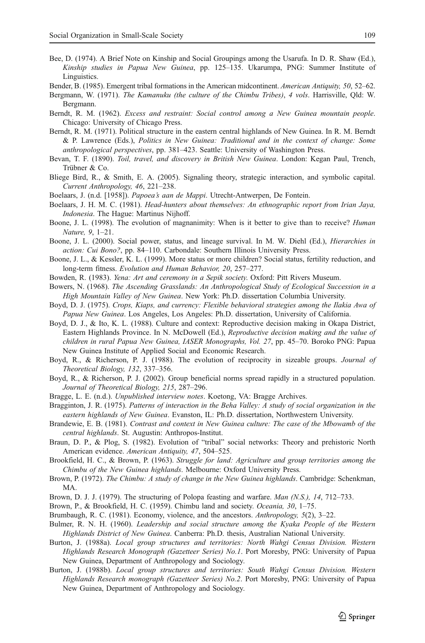- <span id="page-40-0"></span>Bee, D. (1974). A Brief Note on Kinship and Social Groupings among the Usarufa. In D. R. Shaw (Ed.), Kinship studies in Papua New Guinea, pp. 125–135. Ukarumpa, PNG: Summer Institute of Linguistics.
- Bender, B. (1985). Emergent tribal formations in the American midcontinent. American Antiquity, 50, 52–62.
- Bergmann, W. (1971). The Kamanuku (the culture of the Chimbu Tribes), 4 vols. Harrisville, Qld: W. Bergmann.
- Berndt, R. M. (1962). Excess and restraint: Social control among a New Guinea mountain people. Chicago: University of Chicago Press.
- Berndt, R. M. (1971). Political structure in the eastern central highlands of New Guinea. In R. M. Berndt & P. Lawrence (Eds.), Politics in New Guinea: Traditional and in the context of change: Some anthropological perspectives, pp. 381–423. Seattle: University of Washington Press.
- Bevan, T. F. (1890). Toil, travel, and discovery in British New Guinea. London: Kegan Paul, Trench, Trübner & Co.
- Bliege Bird, R., & Smith, E. A. (2005). Signaling theory, strategic interaction, and symbolic capital. Current Anthropology, 46, 221–238.
- Boelaars, J. (n.d. [1958]). Papoea's aan de Mappi. Utrecht-Antwerpen, De Fontein.
- Boelaars, J. H. M. C. (1981). Head-hunters about themselves: An ethnographic report from Irian Jaya, Indonesia. The Hague: Martinus Nijhoff.
- Boone, J. L. (1998). The evolution of magnanimity: When is it better to give than to receive? Human Nature, 9, 1–21.
- Boone, J. L. (2000). Social power, status, and lineage survival. In M. W. Diehl (Ed.), Hierarchies in action: Cui Bono?, pp. 84–110. Carbondale: Southern Illinois University Press.
- Boone, J. L., & Kessler, K. L. (1999). More status or more children? Social status, fertility reduction, and long-term fitness. Evolution and Human Behavior, 20, 257–277.
- Bowden, R. (1983). Yena: Art and ceremony in a Sepik society. Oxford: Pitt Rivers Museum.
- Bowers, N. (1968). The Ascending Grasslands: An Anthropological Study of Ecological Succession in a High Mountain Valley of New Guinea. New York: Ph.D. dissertation Columbia University.
- Boyd, D. J. (1975). Crops, Kiaps, and currency: Flexible behavioral strategies among the Ilakia Awa of Papua New Guinea. Los Angeles, Los Angeles: Ph.D. dissertation, University of California.
- Boyd, D. J., & Ito, K. L. (1988). Culture and context: Reproductive decision making in Okapa District, Eastern Highlands Province. In N. McDowell (Ed.), Reproductive decision making and the value of children in rural Papua New Guinea, IASER Monographs, Vol. 27, pp. 45–70. Boroko PNG: Papua New Guinea Institute of Applied Social and Economic Research.
- Boyd, R., & Richerson, P. J. (1988). The evolution of reciprocity in sizeable groups. Journal of Theoretical Biology, 132, 337–356.
- Boyd, R., & Richerson, P. J. (2002). Group beneficial norms spread rapidly in a structured population. Journal of Theoretical Biology, 215, 287–296.
- Bragge, L. E. (n.d.). Unpublished interview notes. Koetong, VA: Bragge Archives.
- Bragginton, J. R. (1975). Patterns of interaction in the Beha Valley: A study of social organization in the eastern highlands of New Guinea. Evanston, IL: Ph.D. dissertation, Northwestern University.
- Brandewie, E. B. (1981). Contrast and context in New Guinea culture: The case of the Mbowamb of the central highlands. St. Augustin: Anthropos-Institut.
- Braun, D. P., & Plog, S. (1982). Evolution of "tribal" social networks: Theory and prehistoric North American evidence. American Antiquity, 47, 504–525.
- Brookfield, H. C., & Brown, P. (1963). Struggle for land: Agriculture and group territories among the Chimbu of the New Guinea highlands. Melbourne: Oxford University Press.
- Brown, P. (1972). The Chimbu: A study of change in the New Guinea highlands. Cambridge: Schenkman, MA.
- Brown, D. J. J. (1979). The structuring of Polopa feasting and warfare. Man (N.S.), 14, 712–733.
- Brown, P., & Brookfield, H. C. (1959). Chimbu land and society. Oceania, 30, 1-75.
- Brumbaugh, R. C. (1981). Economy, violence, and the ancestors. Anthropology, 5(2), 3–22.
- Bulmer, R. N. H. (1960). Leadership and social structure among the Kyaka People of the Western Highlands District of New Guinea. Canberra: Ph.D. thesis, Australian National University.
- Burton, J. (1988a). Local group structures and territories: North Wahgi Census Division. Western Highlands Research Monograph (Gazetteer Series) No.1. Port Moresby, PNG: University of Papua New Guinea, Department of Anthropology and Sociology.
- Burton, J. (1988b). Local group structures and territories: South Wahgi Census Division. Western Highlands Research monograph (Gazetteer Series) No.2. Port Moresby, PNG: University of Papua New Guinea, Department of Anthropology and Sociology.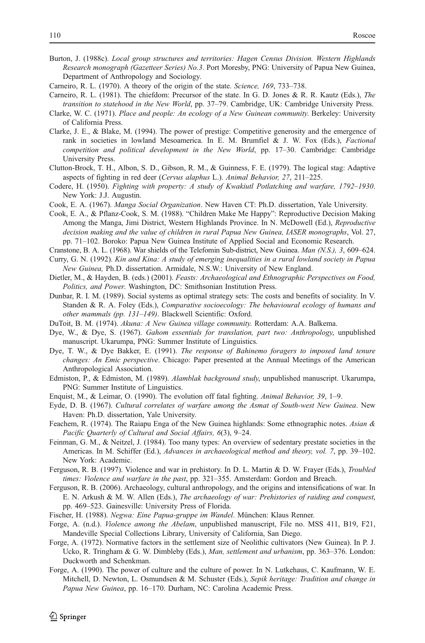- <span id="page-41-0"></span>Burton, J. (1988c). Local group structures and territories: Hagen Census Division. Western Highlands Research monograph (Gazetteer Series) No.3. Port Moresby, PNG: University of Papua New Guinea, Department of Anthropology and Sociology.
- Carneiro, R. L. (1970). A theory of the origin of the state. Science, 169, 733–738.
- Carneiro, R. L. (1981). The chiefdom: Precursor of the state. In G. D. Jones & R. R. Kautz (Eds.), The transition to statehood in the New World, pp. 37–79. Cambridge, UK: Cambridge University Press.
- Clarke, W. C. (1971). Place and people: An ecology of a New Guinean community. Berkeley: University of California Press.
- Clarke, J. E., & Blake, M. (1994). The power of prestige: Competitive generosity and the emergence of rank in societies in lowland Mesoamerica. In E. M. Brumfiel & J. W. Fox (Eds.), Factional competition and political development in the New World, pp. 17–30. Cambridge: Cambridge University Press.
- Clutton-Brock, T. H., Albon, S. D., Gibson, R. M., & Guinness, F. E. (1979). The logical stag: Adaptive aspects of fighting in red deer (Cervus alaphus L.). Animal Behavior, 27, 211–225.
- Codere, H. (1950). Fighting with property: A study of Kwakiutl Potlatching and warfare, 1792–1930. New York: J.J. Augustin.
- Cook, E. A. (1967). Manga Social Organization. New Haven CT: Ph.D. dissertation, Yale University.
- Cook, E. A., & Pflanz-Cook, S. M. (1988). "Children Make Me Happy": Reproductive Decision Making Among the Manga, Jimi District, Western Highlands Province. In N. McDowell (Ed.), Reproductive decision making and the value of children in rural Papua New Guinea, IASER monographs, Vol. 27, pp. 71–102. Boroko: Papua New Guinea Institute of Applied Social and Economic Research.
- Cranstone, B. A. L. (1968). War shields of the Telefomin Sub-district, New Guinea. Man (N.S.), 3, 609–624.
- Curry, G. N. (1992). Kin and Kina: A study of emerging inequalities in a rural lowland society in Papua New Guinea, Ph.D. dissertation. Armidale, N.S.W.: University of New England.
- Dietler, M., & Hayden, B. (eds.) (2001). Feasts: Archaeological and Ethnographic Perspectives on Food, Politics, and Power. Washington, DC: Smithsonian Institution Press.
- Dunbar, R. I. M. (1989). Social systems as optimal strategy sets: The costs and benefits of sociality. In V. Standen & R. A. Foley (Eds.), Comparative socioecology: The behavioural ecology of humans and other mammals (pp. 131–149). Blackwell Scientific: Oxford.
- DuToit, B. M. (1974). Akuna: A New Guinea village community. Rotterdam: A.A. Balkema.
- Dye, W., & Dye, S. (1967). Gahom essentials for translation, part two: Anthropology, unpublished manuscript. Ukarumpa, PNG: Summer Institute of Linguistics.
- Dye, T. W., & Dye Bakker, E. (1991). The response of Bahinemo foragers to imposed land tenure changes: An Emic perspective. Chicago: Paper presented at the Annual Meetings of the American Anthropological Association.
- Edmiston, P., & Edmiston, M. (1989). Alamblak background study, unpublished manuscript. Ukarumpa, PNG: Summer Institute of Linguistics.
- Enquist, M., & Leimar, O. (1990). The evolution off fatal fighting. Animal Behavior, 39, 1–9.
- Eyde, D. B. (1967). Cultural correlates of warfare among the Asmat of South-west New Guinea. New Haven: Ph.D. dissertation, Yale University.
- Feachem, R. (1974). The Raiapu Enga of the New Guinea highlands: Some ethnographic notes. Asian & Pacific Quarterly of Cultural and Social Affairs, 6(3), 9–24.
- Feinman, G. M., & Neitzel, J. (1984). Too many types: An overview of sedentary prestate societies in the Americas. In M. Schiffer (Ed.), Advances in archaeological method and theory, vol. 7, pp. 39–102. New York: Academic.
- Ferguson, R. B. (1997). Violence and war in prehistory. In D. L. Martin & D. W. Frayer (Eds.), Troubled times: Violence and warfare in the past, pp. 321–355. Amsterdam: Gordon and Breach.
- Ferguson, R. B. (2006). Archaeology, cultural anthropology, and the origins and intensifications of war. In E. N. Arkush & M. W. Allen (Eds.), The archaeology of war: Prehistories of raiding and conquest, pp. 469–523. Gainesville: University Press of Florida.
- Fischer, H. (1988). Negwa: Eine Papua-gruppe im Wandel. München: Klaus Renner.
- Forge, A. (n.d.). Violence among the Abelam, unpublished manuscript, File no. MSS 411, B19, F21, Mandeville Special Collections Library, University of California, San Diego.
- Forge, A. (1972). Normative factors in the settlement size of Neolithic cultivators (New Guinea). In P. J. Ucko, R. Tringham & G. W. Dimbleby (Eds.), Man, settlement and urbanism, pp. 363–376. London: Duckworth and Schenkman.
- Forge, A. (1990). The power of culture and the culture of power. In N. Lutkehaus, C. Kaufmann, W. E. Mitchell, D. Newton, L. Osmundsen & M. Schuster (Eds.), Sepik heritage: Tradition and change in Papua New Guinea, pp. 16–170. Durham, NC: Carolina Academic Press.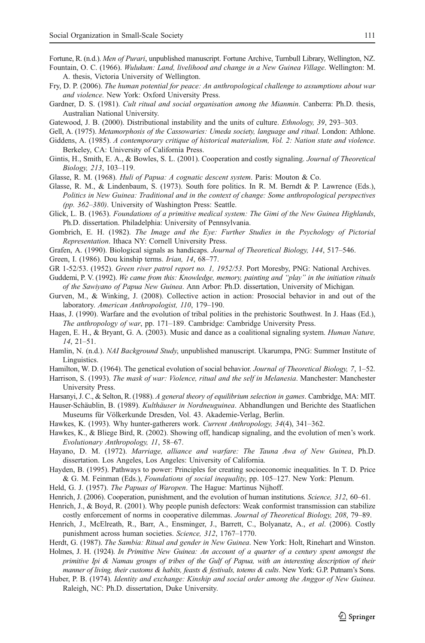<span id="page-42-0"></span>Fortune, R. (n.d.). Men of Purari, unpublished manuscript. Fortune Archive, Turnbull Library, Wellington, NZ.

- Fountain, O. C. (1966). Wulukum: Land, livelihood and change in a New Guinea Village. Wellington: M. A. thesis, Victoria University of Wellington.
- Fry, D. P. (2006). The human potential for peace: An anthropological challenge to assumptions about war and violence. New York: Oxford University Press.
- Gardner, D. S. (1981). *Cult ritual and social organisation among the Mianmin*. Canberra: Ph.D. thesis, Australian National University.
- Gatewood, J. B. (2000). Distributional instability and the units of culture. *Ethnology*, 39, 293–303.
- Gell, A. (1975). Metamorphosis of the Cassowaries: Umeda society, language and ritual. London: Athlone.
- Giddens, A. (1985). A contemporary critique of historical materialism, Vol. 2: Nation state and violence. Berkeley, CA: University of California Press.
- Gintis, H., Smith, E. A., & Bowles, S. L. (2001). Cooperation and costly signaling. Journal of Theoretical Biology, 213, 103–119.
- Glasse, R. M. (1968). Huli of Papua: A cognatic descent system. Paris: Mouton & Co.
- Glasse, R. M., & Lindenbaum, S. (1973). South fore politics. In R. M. Berndt & P. Lawrence (Eds.), Politics in New Guinea: Traditional and in the context of change: Some anthropological perspectives (pp. 362–380). University of Washington Press: Seattle.
- Glick, L. B. (1963). Foundations of a primitive medical system: The Gimi of the New Guinea Highlands, Ph.D. dissertation. Philadelphia: University of Pennsylvania.
- Gombrich, E. H. (1982). The Image and the Eye: Further Studies in the Psychology of Pictorial Representation. Ithaca NY: Cornell University Press.
- Grafen, A. (1990). Biological signals as handicaps. Journal of Theoretical Biology, 144, 517–546.
- Green, I. (1986). Dou kinship terms. Irian, 14, 68–77.
- GR 1-52/53. (1952). Green river patrol report no. 1, 1952/53. Port Moresby, PNG: National Archives.
- Guddemi, P. V. (1992). We came from this: Knowledge, memory, painting and "play" in the initiation rituals of the Sawiyano of Papua New Guinea. Ann Arbor: Ph.D. dissertation, University of Michigan.
- Gurven, M., & Winking, J. (2008). Collective action in action: Prosocial behavior in and out of the laboratory. American Anthropologist, 110, 179–190.
- Haas, J. (1990). Warfare and the evolution of tribal polities in the prehistoric Southwest. In J. Haas (Ed.), The anthropology of war, pp. 171–189. Cambridge: Cambridge University Press.
- Hagen, E. H., & Bryant, G. A. (2003). Music and dance as a coalitional signaling system. Human Nature, 14, 21–51.
- Hamlin, N. (n.d.). NAI Background Study, unpublished manuscript. Ukarumpa, PNG: Summer Institute of Linguistics.
- Hamilton, W. D. (1964). The genetical evolution of social behavior. Journal of Theoretical Biology, 7, 1–52.
- Harrison, S. (1993). The mask of war: Violence, ritual and the self in Melanesia. Manchester: Manchester University Press.
- Harsanyi, J. C., & Selton, R. (1988). A general theory of equilibrium selection in games. Cambridge, MA: MIT.
- Hauser-Schäublin, B. (1989). Kulthäuser in Nordneuguinea. Abhandlungen und Berichte des Staatlichen Museums für Völkerkunde Dresden, Vol. 43. Akademie-Verlag, Berlin.
- Hawkes, K. (1993). Why hunter-gatherers work. Current Anthropology, 34(4), 341–362.
- Hawkes, K., & Bliege Bird, R. (2002). Showing off, handicap signaling, and the evolution of men's work. Evolutionary Anthropology, 11, 58–67.
- Hayano, D. M. (1972). Marriage, alliance and warfare: The Tauna Awa of New Guinea, Ph.D. dissertation. Los Angeles, Los Angeles: University of California.
- Hayden, B. (1995). Pathways to power: Principles for creating socioeconomic inequalities. In T. D. Price & G. M. Feinman (Eds.), Foundations of social inequality, pp. 105–127. New York: Plenum.
- Held, G. J. (1957). The Papuas of Waropen. The Hague: Martinus Nijhoff.
- Henrich, J. (2006). Cooperation, punishment, and the evolution of human institutions. Science, 312, 60–61.
- Henrich, J., & Boyd, R. (2001). Why people punish defectors: Weak conformist transmission can stabilize costly enforcement of norms in cooperative dilemmas. Journal of Theoretical Biology, 208, 79–89.
- Henrich, J., McElreath, R., Barr, A., Ensminger, J., Barrett, C., Bolyanatz, A., et al. (2006). Costly punishment across human societies. Science, 312, 1767–1770.

Herdt, G. (1987). The Sambia: Ritual and gender in New Guinea. New York: Holt, Rinehart and Winston.

- Holmes, J. H. (1924). In Primitive New Guinea: An account of a quarter of a century spent amongst the primitive Ipi & Namau groups of tribes of the Gulf of Papua, with an interesting description of their manner of living, their customs & habits, feasts & festivals, totems & cults. New York: G.P. Putnam's Sons.
- Huber, P. B. (1974). Identity and exchange: Kinship and social order among the Anggor of New Guinea. Raleigh, NC: Ph.D. dissertation, Duke University.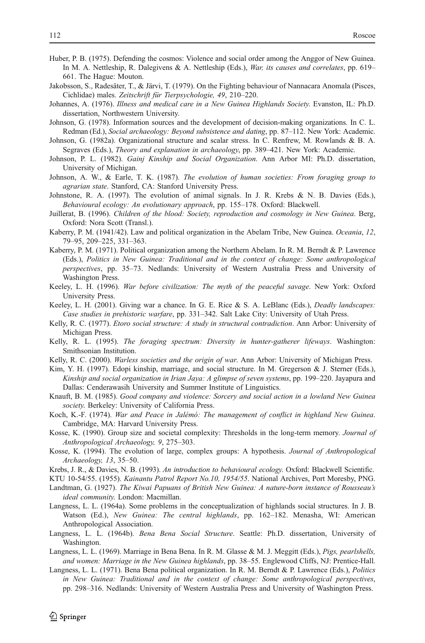- <span id="page-43-0"></span>Huber, P. B. (1975). Defending the cosmos: Violence and social order among the Anggor of New Guinea. In M. A. Nettleship, R. Dalegivens & A. Nettleship (Eds.), War, its causes and correlates, pp. 619– 661. The Hague: Mouton.
- Jakobsson, S., Radesäter, T., & Järvi, T. (1979). On the Fighting behaviour of Nannacara Anomala (Pisces, Cichlidae) males. Zeitschrift für Tierpsychologie, 49, 210–220.
- Johannes, A. (1976). Illness and medical care in a New Guinea Highlands Society. Evanston, IL: Ph.D. dissertation, Northwestern University.
- Johnson, G. (1978). Information sources and the development of decision-making organizations. In C. L. Redman (Ed.), Social archaeology: Beyond subsistence and dating, pp. 87–112. New York: Academic.
- Johnson, G. (1982a). Organizational structure and scalar stress. In C. Renfrew, M. Rowlands & B. A. Segraves (Eds.), Theory and explanation in archaeology, pp. 389–421. New York: Academic.
- Johnson, P. L. (1982). Gainj Kinship and Social Organization. Ann Arbor MI: Ph.D. dissertation, University of Michigan.
- Johnson, A. W., & Earle, T. K. (1987). The evolution of human societies: From foraging group to agrarian state. Stanford, CA: Stanford University Press.
- Johnstone, R. A. (1997). The evolution of animal signals. In J. R. Krebs & N. B. Davies (Eds.), Behavioural ecology: An evolutionary approach, pp. 155–178. Oxford: Blackwell.
- Juillerat, B. (1996). Children of the blood: Society, reproduction and cosmology in New Guinea. Berg, Oxford: Nora Scott (Transl.).
- Kaberry, P. M. (1941/42). Law and political organization in the Abelam Tribe, New Guinea. Oceania, 12, 79–95, 209–225, 331–363.
- Kaberry, P. M. (1971). Political organization among the Northern Abelam. In R. M. Berndt & P. Lawrence (Eds.), Politics in New Guinea: Traditional and in the context of change: Some anthropological perspectives, pp. 35–73. Nedlands: University of Western Australia Press and University of Washington Press.
- Keeley, L. H. (1996). War before civilization: The myth of the peaceful savage. New York: Oxford University Press.
- Keeley, L. H. (2001). Giving war a chance. In G. E. Rice & S. A. LeBlanc (Eds.), Deadly landscapes: Case studies in prehistoric warfare, pp. 331–342. Salt Lake City: University of Utah Press.
- Kelly, R. C. (1977). *Etoro social structure: A study in structural contradiction*. Ann Arbor: University of Michigan Press.
- Kelly, R. L. (1995). The foraging spectrum: Diversity in hunter-gatherer lifeways. Washington: Smithsonian Institution.
- Kelly, R. C. (2000). Warless societies and the origin of war. Ann Arbor: University of Michigan Press.
- Kim, Y. H. (1997). Edopi kinship, marriage, and social structure. In M. Gregerson & J. Sterner (Eds.), Kinship and social organization in Irian Jaya: A glimpse of seven systems, pp. 199–220. Jayapura and Dallas: Cenderawasih University and Summer Institute of Linguistics.
- Knauft, B. M. (1985). Good company and violence: Sorcery and social action in a lowland New Guinea society. Berkeley: University of California Press.
- Koch, K.-F. (1974). War and Peace in Jalémó: The management of conflict in highland New Guinea. Cambridge, MA: Harvard University Press.
- Kosse, K. (1990). Group size and societal complexity: Thresholds in the long-term memory. Journal of Anthropological Archaeology, 9, 275–303.
- Kosse, K. (1994). The evolution of large, complex groups: A hypothesis. Journal of Anthropological Archaeology, 13, 35–50.
- Krebs, J. R., & Davies, N. B. (1993). An introduction to behavioural ecology. Oxford: Blackwell Scientific.
- KTU 10-54/55. (1955). Kainantu Patrol Report No.10, 1954/55. National Archives, Port Moresby, PNG.
- Landtman, G. (1927). The Kiwai Papuans of British New Guinea: A nature-born instance of Rousseau's ideal community. London: Macmillan.
- Langness, L. L. (1964a). Some problems in the conceptualization of highlands social structures. In J. B. Watson (Ed.), New Guinea: The central highlands, pp. 162–182. Menasha, WI: American Anthropological Association.
- Langness, L. L. (1964b). Bena Bena Social Structure. Seattle: Ph.D. dissertation, University of Washington.
- Langness, L. L. (1969). Marriage in Bena Bena. In R. M. Glasse & M. J. Meggitt (Eds.), Pigs, pearlshells, and women: Marriage in the New Guinea highlands, pp. 38–55. Englewood Cliffs, NJ: Prentice-Hall.
- Langness, L. L. (1971). Bena Bena political organization. In R. M. Berndt & P. Lawrence (Eds.), Politics in New Guinea: Traditional and in the context of change: Some anthropological perspectives, pp. 298–316. Nedlands: University of Western Australia Press and University of Washington Press.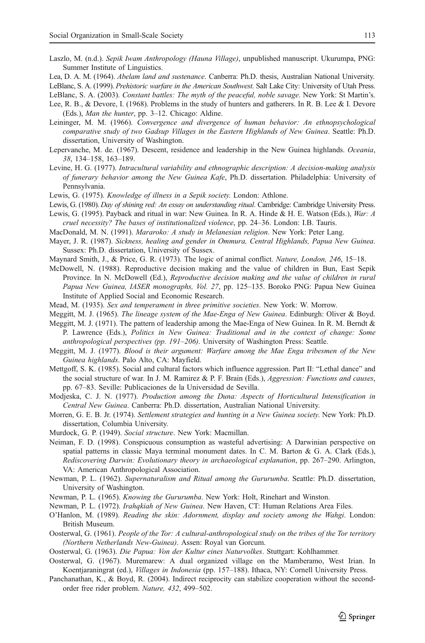- <span id="page-44-0"></span>Laszlo, M. (n.d.). Sepik Iwam Anthropology (Hauna Village), unpublished manuscript. Ukurumpa, PNG: Summer Institute of Linguistics.
- Lea, D. A. M. (1964). Abelam land and sustenance. Canberra: Ph.D. thesis, Australian National University. LeBlanc, S. A. (1999). Prehistoric warfare in the American Southwest. Salt Lake City: University of Utah Press.

LeBlanc, S. A. (2003). Constant battles: The myth of the peaceful, noble savage. New York: St Martin's.

- Lee, R. B., & Devore, I. (1968). Problems in the study of hunters and gatherers. In R. B. Lee & I. Devore (Eds.), Man the hunter, pp. 3–12. Chicago: Aldine.
- Leininger, M. M. (1966). Convergence and divergence of human behavior: An ethnopsychological comparative study of two Gadsup Villages in the Eastern Highlands of New Guinea. Seattle: Ph.D. dissertation, University of Washington.
- Lepervanche, M. de. (1967). Descent, residence and leadership in the New Guinea highlands. Oceania, 38, 134–158, 163–189.
- Levine, H. G. (1977). Intracultural variability and ethnographic description: A decision-making analysis of funerary behavior among the New Guinea Kafe, Ph.D. dissertation. Philadelphia: University of Pennsylvania.
- Lewis, G. (1975). Knowledge of illness in a Sepik society. London: Athlone.
- Lewis, G. (1980). Day of shining red: An essay on understanding ritual. Cambridge: Cambridge University Press.
- Lewis, G. (1995). Payback and ritual in war: New Guinea. In R. A. Hinde & H. E. Watson (Eds.), War: A cruel necessity? The bases of institutionalized violence, pp. 24–36. London: I.B. Tauris.
- MacDonald, M. N. (1991). Mararoko: A study in Melanesian religion. New York: Peter Lang.
- Mayer, J. R. (1987). Sickness, healing and gender in Ommura, Central Highlands, Papua New Guinea. Sussex: Ph.D. dissertation, University of Sussex.
- Maynard Smith, J., & Price, G. R. (1973). The logic of animal conflict. Nature, London, 246, 15–18.
- McDowell, N. (1988). Reproductive decision making and the value of children in Bun, East Sepik Province. In N. McDowell (Ed.), Reproductive decision making and the value of children in rural Papua New Guinea, IASER monographs, Vol. 27, pp. 125–135. Boroko PNG: Papua New Guinea Institute of Applied Social and Economic Research.
- Mead, M. (1935). Sex and temperament in three primitive societies. New York: W. Morrow.
- Meggitt, M. J. (1965). The lineage system of the Mae-Enga of New Guinea. Edinburgh: Oliver & Boyd.
- Meggitt, M. J. (1971). The pattern of leadership among the Mae-Enga of New Guinea. In R. M. Berndt & P. Lawrence (Eds.), Politics in New Guinea: Traditional and in the context of change: Some anthropological perspectives (pp. 191–206). University of Washington Press: Seattle.
- Meggitt, M. J. (1977). Blood is their argument: Warfare among the Mae Enga tribesmen of the New Guinea highlands. Palo Alto, CA: Mayfield.
- Mettgoff, S. K. (1985). Social and cultural factors which influence aggression. Part II: "Lethal dance" and the social structure of war. In J. M. Ramirez & P. F. Brain (Eds.), Aggression: Functions and causes, pp. 67–83. Seville: Publicaciones de la Universidad de Sevilla.
- Modjeska, C. J. N. (1977). Production among the Duna: Aspects of Horticultural Intensification in Central New Guinea. Canberra: Ph.D. dissertation, Australian National University.
- Morren, G. E. B. Jr. (1974). Settlement strategies and hunting in a New Guinea society. New York: Ph.D. dissertation, Columbia University.
- Murdock, G. P. (1949). Social structure. New York: Macmillan.
- Neiman, F. D. (1998). Conspicuous consumption as wasteful advertising: A Darwinian perspective on spatial patterns in classic Maya terminal monument dates. In C. M. Barton & G. A. Clark (Eds.), Rediscovering Darwin: Evolutionary theory in archaeological explanation, pp. 267–290. Arlington, VA: American Anthropological Association.
- Newman, P. L. (1962). Supernaturalism and Ritual among the Gururumba. Seattle: Ph.D. dissertation, University of Washington.
- Newman, P. L. (1965). *Knowing the Gururumba*. New York: Holt, Rinehart and Winston.
- Newman, P. L. (1972). Irahqkiah of New Guinea. New Haven, CT: Human Relations Area Files.
- O'Hanlon, M. (1989). Reading the skin: Adornment, display and society among the Wahgi. London: British Museum.
- Oosterwal, G. (1961). People of the Tor: A cultural-anthropological study on the tribes of the Tor territory (Northern Netherlands New-Guinea). Assen: Royal van Gorcum.
- Oosterwal, G. (1963). Die Papua: Von der Kultur eines Naturvolkes. Stuttgart: Kohlhammer.
- Oosterwal, G. (1967). Muremarew: A dual organized village on the Mamberamo, West Irian. In Koentjaraningrat (ed.), Villages in Indonesia (pp. 157–188). Ithaca, NY: Cornell University Press.
- Panchanathan, K., & Boyd, R. (2004). Indirect reciprocity can stabilize cooperation without the secondorder free rider problem. Nature, 432, 499–502.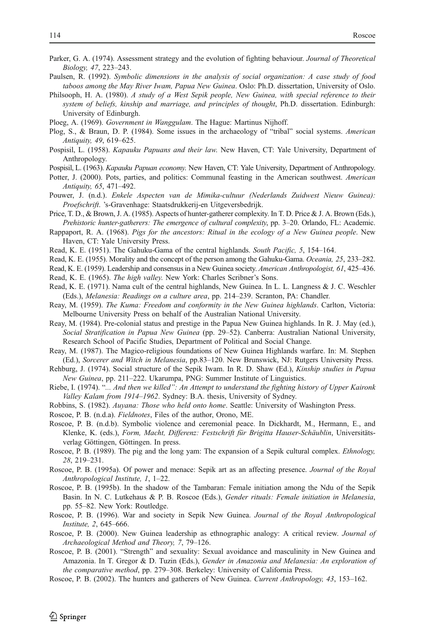- <span id="page-45-0"></span>Parker, G. A. (1974). Assessment strategy and the evolution of fighting behaviour. Journal of Theoretical Biology, 47, 223–243.
- Paulsen, R. (1992). Symbolic dimensions in the analysis of social organization: A case study of food taboos among the May River Iwam, Papua New Guinea. Oslo: Ph.D. dissertation, University of Oslo.
- Philsooph, H. A. (1980). A study of a West Sepik people, New Guinea, with special reference to their system of beliefs, kinship and marriage, and principles of thought, Ph.D. dissertation. Edinburgh: University of Edinburgh.
- Ploeg, A. (1969). Government in Wanggulam. The Hague: Martinus Nijhoff.
- Plog, S., & Braun, D. P. (1984). Some issues in the archaeology of "tribal" social systems. American Antiquity, 49, 619–625.
- Pospisil, L. (1958). Kapauku Papuans and their law. New Haven, CT: Yale University, Department of Anthropology.
- Pospisil, L. (1963). Kapauku Papuan economy. New Haven, CT: Yale University, Department of Anthropology.
- Potter, J. (2000). Pots, parties, and politics: Communal feasting in the American southwest. American Antiquity, 65, 471–492.
- Pouwer, J. (n.d.). Enkele Aspecten van de Mimika-cultuur (Nederlands Zuidwest Nieuw Guinea): Proefschrift. 's-Gravenhage: Staatsdrukkerij-en Uitgeversbedrijk.
- Price, T. D., & Brown, J. A. (1985). Aspects of hunter-gatherer complexity. In T. D. Price & J. A. Brown (Eds.), Prehistoric hunter-gatherers: The emergence of cultural complexity, pp. 3–20. Orlando, FL: Academic.
- Rappaport, R. A. (1968). Pigs for the ancestors: Ritual in the ecology of a New Guinea people. New Haven, CT: Yale University Press.
- Read, K. E. (1951). The Gahuku-Gama of the central highlands. South Pacific, 5, 154–164.
- Read, K. E. (1955). Morality and the concept of the person among the Gahuku-Gama. Oceania, 25, 233–282.
- Read, K. E. (1959). Leadership and consensus in a New Guinea society. American Anthropologist, 61, 425-436.
- Read, K. E. (1965). The high valley. New York: Charles Scribner's Sons.
- Read, K. E. (1971). Nama cult of the central highlands, New Guinea. In L. L. Langness & J. C. Weschler (Eds.), Melanesia: Readings on a culture area, pp. 214–239. Scranton, PA: Chandler.
- Reay, M. (1959). The Kuma: Freedom and conformity in the New Guinea highlands. Carlton, Victoria: Melbourne University Press on behalf of the Australian National University.
- Reay, M. (1984). Pre-colonial status and prestige in the Papua New Guinea highlands. In R. J. May (ed.), Social Stratification in Papua New Guinea (pp. 29–52). Canberra: Australian National University, Research School of Pacific Studies, Department of Political and Social Change.
- Reay, M. (1987). The Magico-religious foundations of New Guinea Highlands warfare. In: M. Stephen (Ed.), Sorcerer and Witch in Melanesia, pp.83–120. New Brunswick, NJ: Rutgers University Press.
- Rehburg, J. (1974). Social structure of the Sepik Iwam. In R. D. Shaw (Ed.), Kinship studies in Papua New Guinea, pp. 211–222. Ukarumpa, PNG: Summer Institute of Linguistics.
- Riebe, I. (1974). "... And then we killed": An Attempt to understand the fighting history of Upper Kaironk Valley Kalam from 1914–1962. Sydney: B.A. thesis, University of Sydney.
- Robbins, S. (1982). Auyana: Those who held onto home. Seattle: University of Washington Press.
- Roscoe, P. B. (n.d.a). Fieldnotes, Files of the author, Orono, ME.
- Roscoe, P. B. (n.d.b). Symbolic violence and ceremonial peace. In Dickhardt, M., Hermann, E., and Klenke, K. (eds.), Form, Macht, Differenz: Festschrift für Brigitta Hauser-Schäublin, Universitätsverlag Göttingen, Göttingen. In press.
- Roscoe, P. B. (1989). The pig and the long yam: The expansion of a Sepik cultural complex. Ethnology, 28, 219–231.
- Roscoe, P. B. (1995a). Of power and menace: Sepik art as an affecting presence. Journal of the Royal Anthropological Institute, 1, 1–22.
- Roscoe, P. B. (1995b). In the shadow of the Tambaran: Female initiation among the Ndu of the Sepik Basin. In N. C. Lutkehaus & P. B. Roscoe (Eds.), Gender rituals: Female initiation in Melanesia, pp. 55–82. New York: Routledge.
- Roscoe, P. B. (1996). War and society in Sepik New Guinea. Journal of the Royal Anthropological Institute, 2, 645–666.
- Roscoe, P. B. (2000). New Guinea leadership as ethnographic analogy: A critical review. Journal of Archaeological Method and Theory, 7, 79–126.
- Roscoe, P. B. (2001). "Strength" and sexuality: Sexual avoidance and masculinity in New Guinea and Amazonia. In T. Gregor & D. Tuzin (Eds.), Gender in Amazonia and Melanesia: An exploration of the comparative method, pp. 279–308. Berkeley: University of California Press.

Roscoe, P. B. (2002). The hunters and gatherers of New Guinea. Current Anthropology, 43, 153–162.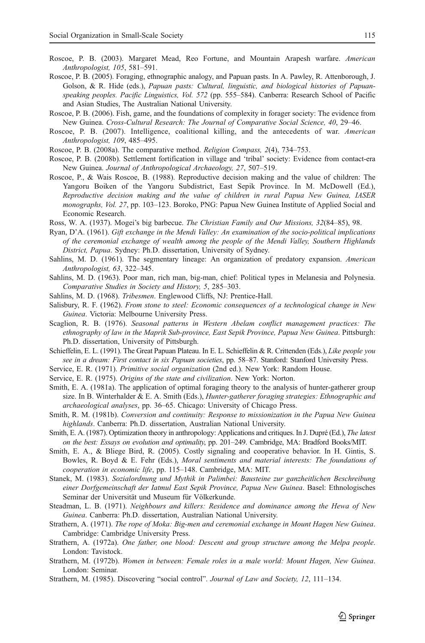<span id="page-46-0"></span>Roscoe, P. B. (2005). Foraging, ethnographic analogy, and Papuan pasts. In A. Pawley, R. Attenborough, J. Golson, & R. Hide (eds.), Papuan pasts: Cultural, linguistic, and biological histories of Papuanspeaking peoples. Pacific Linguistics, Vol. 572 (pp. 555–584). Canberra: Research School of Pacific and Asian Studies, The Australian National University.

- Roscoe, P. B. (2006). Fish, game, and the foundations of complexity in forager society: The evidence from New Guinea. Cross-Cultural Research: The Journal of Comparative Social Science, 40, 29–46.
- Roscoe, P. B. (2007). Intelligence, coalitional killing, and the antecedents of war. American Anthropologist, 109, 485–495.

Roscoe, P. B. (2008a). The comparative method. Religion Compass, 2(4), 734–753.

- Roscoe, P. B. (2008b). Settlement fortification in village and 'tribal' society: Evidence from contact-era New Guinea. Journal of Anthropological Archaeology, 27, 507–519.
- Roscoe, P., & Wais Roscoe, B. (1988). Reproductive decision making and the value of children: The Yangoru Boiken of the Yangoru Subdistrict, East Sepik Province. In M. McDowell (Ed.), Reproductive decision making and the value of children in rural Papua New Guinea, IASER monographs, Vol. 27, pp. 103–123. Boroko, PNG: Papua New Guinea Institute of Applied Social and Economic Research.

Ross, W. A. (1937). Mogei's big barbecue. The Christian Family and Our Missions, 32(84–85), 98.

- Ryan, D'A. (1961). Gift exchange in the Mendi Valley: An examination of the socio-political implications of the ceremonial exchange of wealth among the people of the Mendi Valley, Southern Highlands District, Papua. Sydney: Ph.D. dissertation, University of Sydney.
- Sahlins, M. D. (1961). The segmentary lineage: An organization of predatory expansion. American Anthropologist, 63, 322–345.
- Sahlins, M. D. (1963). Poor man, rich man, big-man, chief: Political types in Melanesia and Polynesia. Comparative Studies in Society and History, 5, 285–303.
- Sahlins, M. D. (1968). Tribesmen. Englewood Cliffs, NJ: Prentice-Hall.
- Salisbury, R. F. (1962). From stone to steel: Economic consequences of a technological change in New Guinea. Victoria: Melbourne University Press.
- Scaglion, R. B. (1976). Seasonal patterns in Western Abelam conflict management practices: The ethnography of law in the Maprik Sub-province, East Sepik Province, Papua New Guinea. Pittsburgh: Ph.D. dissertation, University of Pittsburgh.
- Schieffelin, E. L. (1991). The Great Papuan Plateau. In E. L. Schieffelin & R. Crittenden (Eds.), Like people you see in a dream: First contact in six Papuan societies, pp. 58–87. Stanford: Stanford University Press.
- Service, E. R. (1971). Primitive social organization (2nd ed.). New York: Random House.
- Service, E. R. (1975). Origins of the state and civilization. New York: Norton.
- Smith, E. A. (1981a). The application of optimal foraging theory to the analysis of hunter-gatherer group size. In B. Winterhalder  $\&$  E. A. Smith (Eds.), *Hunter-gatherer foraging strategies: Ethnographic and* archaeological analyses, pp. 36–65. Chicago: University of Chicago Press.
- Smith, R. M. (1981b). Conversion and continuity: Response to missionization in the Papua New Guinea highlands. Canberra: Ph.D. dissertation, Australian National University.
- Smith, E. A. (1987). Optimization theory in anthropology: Applications and critiques. In J. Dupré (Ed.), The latest on the best: Essays on evolution and optimality, pp. 201–249. Cambridge, MA: Bradford Books/MIT.
- Smith, E. A., & Bliege Bird, R. (2005). Costly signaling and cooperative behavior. In H. Gintis, S. Bowles, R. Boyd & E. Fehr (Eds.), Moral sentiments and material interests: The foundations of cooperation in economic life, pp. 115–148. Cambridge, MA: MIT.
- Stanek, M. (1983). Sozialordnung und Mythik in Palimbei: Bausteine zur ganzheitlichen Beschreibung einer Dorfgemeinschaft der Iatmul East Sepik Province, Papua New Guinea. Basel: Ethnologisches Seminar der Universität und Museum für Völkerkunde.
- Steadman, L. B. (1971). Neighbours and killers: Residence and dominance among the Hewa of New Guinea. Canberra: Ph.D. dissertation, Australian National University.
- Strathern, A. (1971). The rope of Moka: Big-men and ceremonial exchange in Mount Hagen New Guinea. Cambridge: Cambridge University Press.
- Strathern, A. (1972a). One father, one blood: Descent and group structure among the Melpa people. London: Tavistock.
- Strathern, M. (1972b). Women in between: Female roles in a male world: Mount Hagen, New Guinea. London: Seminar.
- Strathern, M. (1985). Discovering "social control". Journal of Law and Society, 12, 111–134.